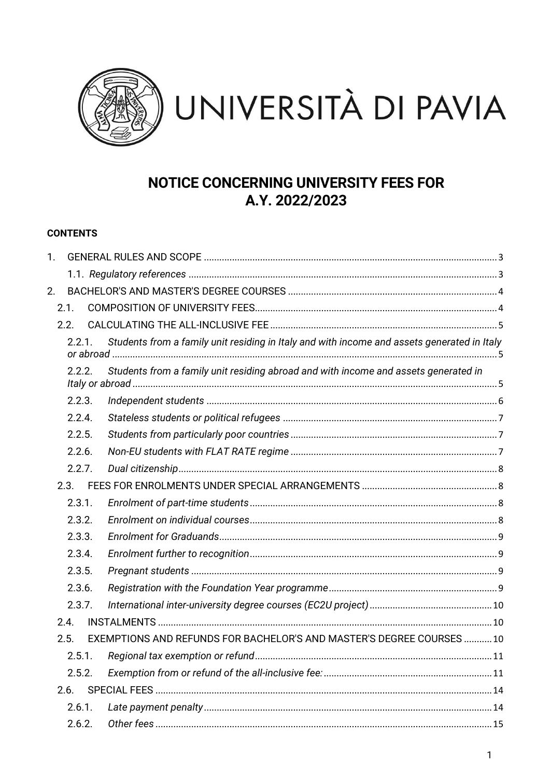

# **NOTICE CONCERNING UNIVERSITY FEES FOR** A.Y. 2022/2023

# **CONTENTS**

| 1. |           |                                                                                             |  |
|----|-----------|---------------------------------------------------------------------------------------------|--|
|    |           |                                                                                             |  |
| 2. |           |                                                                                             |  |
|    | 2.1.      |                                                                                             |  |
|    | 2.2.      |                                                                                             |  |
|    | 2.2.1.    | Students from a family unit residing in Italy and with income and assets generated in Italy |  |
|    | 2.2.2.    | Students from a family unit residing abroad and with income and assets generated in         |  |
|    | 2.2.3.    |                                                                                             |  |
|    | 2.2.4.    |                                                                                             |  |
|    | 2.2.5.    |                                                                                             |  |
|    | 2.2.6.    |                                                                                             |  |
|    | 2.2.7.    |                                                                                             |  |
|    | 2.3.      |                                                                                             |  |
|    | 2.3.1.    |                                                                                             |  |
|    | 2.3.2.    |                                                                                             |  |
|    | 2.3.3.    |                                                                                             |  |
|    | 2.3.4.    |                                                                                             |  |
|    | 2.3.5.    |                                                                                             |  |
|    | 2.3.6.    |                                                                                             |  |
|    | 2.3.7.    |                                                                                             |  |
|    | 2.4.      |                                                                                             |  |
|    | 2.5.      | EXEMPTIONS AND REFUNDS FOR BACHELOR'S AND MASTER'S DEGREE COURSES  10                       |  |
|    | 2.5.1.    |                                                                                             |  |
|    | 2.5.2.    |                                                                                             |  |
|    | 2.6.      |                                                                                             |  |
|    | $2.6.1$ . |                                                                                             |  |
|    | 2.6.2.    |                                                                                             |  |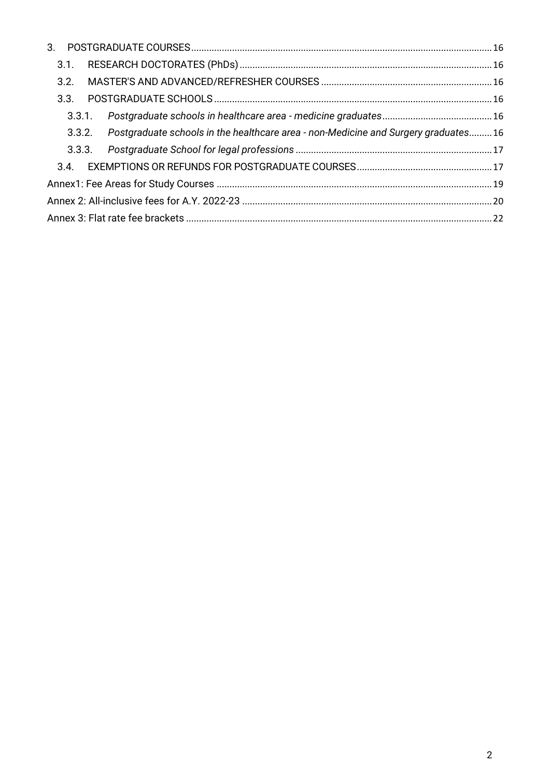| 3.1.                                                                                      |  |
|-------------------------------------------------------------------------------------------|--|
| 3.2.                                                                                      |  |
| 3.3.                                                                                      |  |
| 3.3.1.                                                                                    |  |
| 3.3.2. Postgraduate schools in the healthcare area - non-Medicine and Surgery graduates16 |  |
|                                                                                           |  |
|                                                                                           |  |
|                                                                                           |  |
|                                                                                           |  |
|                                                                                           |  |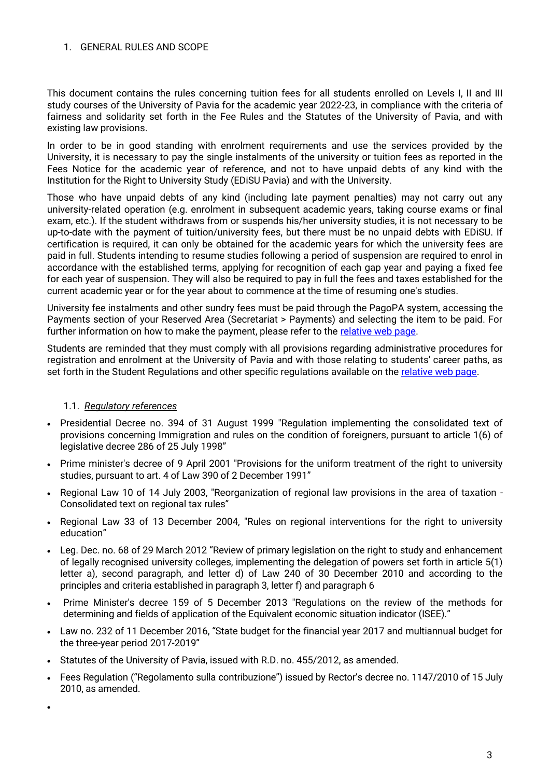#### <span id="page-2-0"></span>1 GENERAL RULES AND SCOPE

This document contains the rules concerning tuition fees for all students enrolled on Levels I, II and III study courses of the University of Pavia for the academic year 2022-23, in compliance with the criteria of fairness and solidarity set forth in the Fee Rules and the Statutes of the University of Pavia, and with existing law provisions.

In order to be in good standing with enrolment requirements and use the services provided by the University, it is necessary to pay the single instalments of the university or tuition fees as reported in the Fees Notice for the academic year of reference, and not to have unpaid debts of any kind with the Institution for the Right to University Study (EDiSU Pavia) and with the University.

Those who have unpaid debts of any kind (including late payment penalties) may not carry out any university-related operation (e.g. enrolment in subsequent academic years, taking course exams or final exam, etc.). If the student withdraws from or suspends his/her university studies, it is not necessary to be up-to-date with the payment of tuition/university fees, but there must be no unpaid debts with EDiSU. If certification is required, it can only be obtained for the academic years for which the university fees are paid in full. Students intending to resume studies following a period of suspension are required to enrol in accordance with the established terms, applying for recognition of each gap year and paying a fixed fee for each year of suspension. They will also be required to pay in full the fees and taxes established for the current academic year or for the year about to commence at the time of resuming one's studies.

University fee instalments and other sundry fees must be paid through the PagoPA system, accessing the Payments section of your Reserved Area (Secretariat > Payments) and selecting the item to be paid. For further information on how to make the payment, please refer to the [relative web page.](https://web-en.unipv.it/info-for/fees-and-fundings/)

Students are reminded that they must comply with all provisions regarding administrative procedures for registration and enrolment at the University of Pavia and with those relating to students' career paths, as set forth in the Student Regulations and other specific regulations available on the [relative web page.](https://web.unipv.it/ateneo/statuto-regolamenti/statuto-regolamenti-didattica/)

#### 1.1. *Regulatory references*

- <span id="page-2-1"></span>• Presidential Decree no. 394 of 31 August 1999 "Regulation implementing the consolidated text of provisions concerning Immigration and rules on the condition of foreigners, pursuant to article 1(6) of legislative decree 286 of 25 July 1998"
- Prime minister's decree of 9 April 2001 "Provisions for the uniform treatment of the right to university studies, pursuant to art. 4 of Law 390 of 2 December 1991"
- Regional Law 10 of 14 July 2003, "Reorganization of regional law provisions in the area of taxation Consolidated text on regional tax rules"
- Regional Law 33 of 13 December 2004, "Rules on regional interventions for the right to university education"
- Leg. Dec. no. 68 of 29 March 2012 "Review of primary legislation on the right to study and enhancement of legally recognised university colleges, implementing the delegation of powers set forth in article 5(1) letter a), second paragraph, and letter d) of Law 240 of 30 December 2010 and according to the principles and criteria established in paragraph 3, letter f) and paragraph 6
- Prime Minister's decree 159 of 5 December 2013 "Regulations on the review of the methods for determining and fields of application of the Equivalent economic situation indicator (ISEE)."
- Law no. 232 of 11 December 2016, "State budget for the financial year 2017 and multiannual budget for the three-year period 2017-2019"
- Statutes of the University of Pavia, issued with R.D. no. 455/2012, as amended.
- Fees Regulation ("Regolamento sulla contribuzione") issued by Rector's decree no. 1147/2010 of 15 July 2010, as amended.

•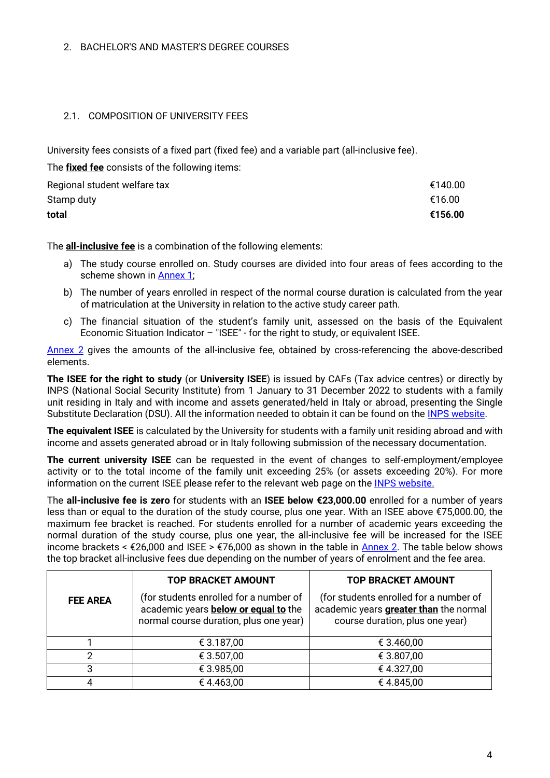#### <span id="page-3-0"></span>2. BACHELOR'S AND MASTER'S DEGREE COURSES

### <span id="page-3-2"></span><span id="page-3-1"></span>2.1. COMPOSITION OF UNIVERSITY FEES

University fees consists of a fixed part (fixed fee) and a variable part (all-inclusive fee).

The **fixed fee** consists of the following items:

| Regional student welfare tax | €140.00 |
|------------------------------|---------|
| Stamp duty                   | €16.00  |
| total                        | €156.00 |

The **all-inclusive fee** is a combination of the following elements:

- a) The study course enrolled on. Study courses are divided into four areas of fees according to the scheme shown in [Annex 1;](#page-17-0)
- b) The number of years enrolled in respect of the normal course duration is calculated from the year of matriculation at the University in relation to the active study career path.
- c) The financial situation of the student's family unit, assessed on the basis of the Equivalent Economic Situation Indicator – "ISEE" - for the right to study, or equivalent ISEE.

[Annex 2](#page-18-1) gives the amounts of the all-inclusive fee, obtained by cross-referencing the above-described elements.

**The ISEE for the right to study** (or **University ISEE**) is issued by CAFs (Tax advice centres) or directly by INPS (National Social Security Institute) from 1 January to 31 December 2022 to students with a family unit residing in Italy and with income and assets generated/held in Italy or abroad, presenting the Single Substitute Declaration (DSU). All the information needed to obtain it can be found on the [INPS website.](https://www.inps.it/gss/default.aspx?imenu=120)

**The equivalent ISEE** is calculated by the University for students with a family unit residing abroad and with income and assets generated abroad or in Italy following submission of the necessary documentation.

**The current university ISEE** can be requested in the event of changes to self-employment/employee activity or to the total income of the family unit exceeding 25% (or assets exceeding 20%). For more information on the current ISEE please refer to the relevant web page on the [INPS website.](https://servizi2.inps.it/servizi/CircMessStd/VisualizzaDoc.aspx?tipologia=circmess&idunivoco=11867)

The **all-inclusive fee is zero** for students with an **ISEE below €23,000.00** enrolled for a number of years less than or equal to the duration of the study course, plus one year. With an ISEE above €75,000.00, the maximum fee bracket is reached. For students enrolled for a number of academic years exceeding the normal duration of the study course, plus one year, the all-inclusive fee will be increased for the ISEE income brackets <  $\epsilon$ 26,000 and ISEE >  $\epsilon$ 76,000 as shown in the table in [Annex 2.](#page-18-1) The table below shows the top bracket all-inclusive fees due depending on the number of years of enrolment and the fee area.

|                 | <b>TOP BRACKET AMOUNT</b>                                                                                                       | <b>TOP BRACKET AMOUNT</b>                                                                                                  |  |  |  |
|-----------------|---------------------------------------------------------------------------------------------------------------------------------|----------------------------------------------------------------------------------------------------------------------------|--|--|--|
| <b>FEE AREA</b> | (for students enrolled for a number of<br>academic years <b>below or equal to</b> the<br>normal course duration, plus one year) | (for students enrolled for a number of<br>academic years <b>greater than</b> the normal<br>course duration, plus one year) |  |  |  |
|                 | € 3.187,00                                                                                                                      | € 3.460,00                                                                                                                 |  |  |  |
|                 | € 3.507,00                                                                                                                      | € 3.807,00                                                                                                                 |  |  |  |
| 3               | € 3.985,00                                                                                                                      | €4.327,00                                                                                                                  |  |  |  |
|                 | €4.463,00                                                                                                                       | €4.845,00                                                                                                                  |  |  |  |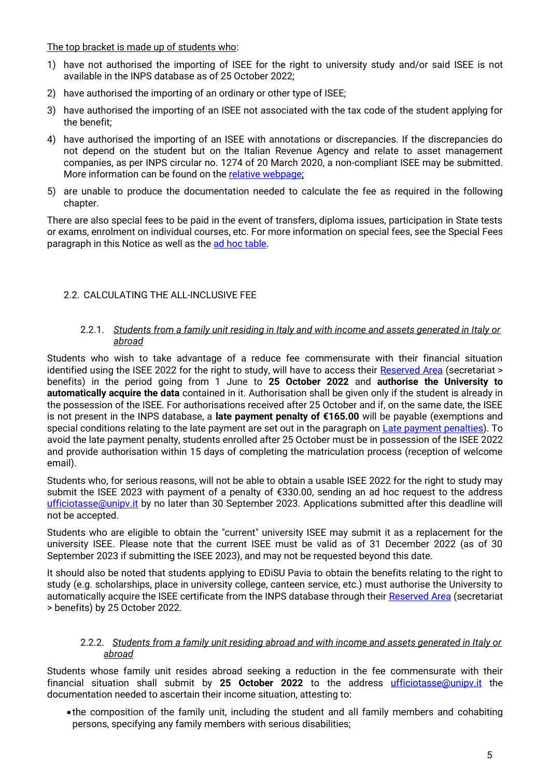The top bracket is made up of students who:

- 1) have not authorised the importing of ISEE for the right to university study and/or said ISEE is not available in the INPS database as of 25 October 2022;
- 2) have authorised the importing of an ordinary or other type of ISEE;
- 3) have authorised the importing of an ISEE not associated with the tax code of the student applying for the benefit;
- 4) have authorised the importing of an ISEE with annotations or discrepancies. If the discrepancies do not depend on the student but on the Italian Revenue Agency and relate to asset management companies, as per INPS circular no. 1274 of 20 March 2020, a non-compliant ISEE may be submitted. More information can be found on the [relative webpage;](https://www.inps.it/news/isee-2020-controlli-sul-patrimonio-mobiliare-posseduto)
- 5) are unable to produce the documentation needed to calculate the fee as required in the following chapter.

There are also special fees to be paid in the event of transfers, diploma issues, participation in State tests or exams, enrolment on individual courses, etc. For more information on special fees, see the Special Fees paragraph in this Notice as well as the [ad hoc table.](#page-14-0)

# <span id="page-4-0"></span>2.2. CALCULATING THE ALL-INCLUSIVE FEE

#### 2.2.1. *Students from a family unit residing in Italy and with income and assets generated in Italy or abroad*

<span id="page-4-1"></span>Students who wish to take advantage of a reduce fee commensurate with their financial situation identified using the ISEE 2022 for the right to study, will have to access their [Reserved Area](https://studentionline.unipv.it/Home.do;jsessionid=41656FC2DD9E4AF140AFC00267FAAC0A.esse3-unipv-prod-01?cod_lingua=eng) (secretariat > benefits) in the period going from 1 June to **25 October 2022** and **authorise the University to automatically acquire the data** contained in it. Authorisation shall be given only if the student is already in the possession of the ISEE. For authorisations received after 25 October and if, on the same date, the ISEE is not present in the INPS database, a **late payment penalty of €165.00** will be payable (exemptions and special conditions relating to the late payment are set out in the paragraph on [Late payment penalties\)](#page-13-1). To avoid the late payment penalty, students enrolled after 25 October must be in possession of the ISEE 2022 and provide authorisation within 15 days of completing the matriculation process (reception of welcome email).

Students who, for serious reasons, will not be able to obtain a usable ISEE 2022 for the right to study may submit the ISEE 2023 with payment of a penalty of €330.00, sending an ad hoc request to the address [ufficiotasse@unipv.it](mailto:ufficiotasse@unipv.it) by no later than 30 September 2023. Applications submitted after this deadline will not be accepted.

Students who are eligible to obtain the "current" university ISEE may submit it as a replacement for the university ISEE. Please note that the current ISEE must be valid as of 31 December 2022 (as of 30 September 2023 if submitting the ISEE 2023), and may not be requested beyond this date.

It should also be noted that students applying to EDiSU Pavia to obtain the benefits relating to the right to study (e.g. scholarships, place in university college, canteen service, etc.) must authorise the University to automatically acquire the ISEE certificate from the INPS database through their [Reserved Area](https://studentionline.unipv.it/Home.do;jsessionid=41656FC2DD9E4AF140AFC00267FAAC0A.esse3-unipv-prod-01?cod_lingua=eng) (secretariat > benefits) by 25 October 2022.

#### 2.2.2. *Students from a family unit residing abroad and with income and assets generated in Italy or abroad*

<span id="page-4-2"></span>Students whose family unit resides abroad seeking a reduction in the fee commensurate with their financial situation shall submit by 25 October 2022 to the address [ufficiotasse@unipv.it](mailto:ufficiotasse@unipv.it) the documentation needed to ascertain their income situation, attesting to:

•the composition of the family unit, including the student and all family members and cohabiting persons, specifying any family members with serious disabilities;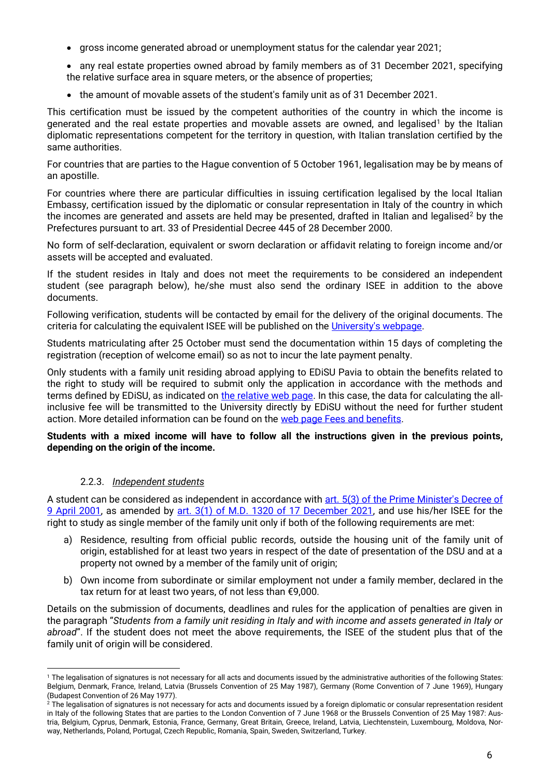- gross income generated abroad or unemployment status for the calendar year 2021;
- any real estate properties owned abroad by family members as of 31 December 2021, specifying the relative surface area in square meters, or the absence of properties;
- the amount of movable assets of the student's family unit as of 31 December 2021.

This certification must be issued by the competent authorities of the country in which the income is generated and the real estate properties and movable assets are owned, and legalised<sup>1</sup> by the Italian diplomatic representations competent for the territory in question, with Italian translation certified by the same authorities.

For countries that are parties to the Hague convention of 5 October 1961, legalisation may be by means of an apostille.

For countries where there are particular difficulties in issuing certification legalised by the local Italian Embassy, certification issued by the diplomatic or consular representation in Italy of the country in which the incomes are generated and assets are held may be presented, drafted in Italian and legalised<sup>2</sup> by the Prefectures pursuant to art. 33 of Presidential Decree 445 of 28 December 2000.

No form of self-declaration, equivalent or sworn declaration or affidavit relating to foreign income and/or assets will be accepted and evaluated.

If the student resides in Italy and does not meet the requirements to be considered an independent student (see paragraph below), he/she must also send the ordinary ISEE in addition to the above documents.

Following verification, students will be contacted by email for the delivery of the original documents. The criteria for calculating the equivalent ISEE will be published on the [University's webpage.](https://web-en.unipv.it/)

Students matriculating after 25 October must send the documentation within 15 days of completing the registration (reception of welcome email) so as not to incur the late payment penalty.

Only students with a family unit residing abroad applying to EDiSU Pavia to obtain the benefits related to the right to study will be required to submit only the application in accordance with the methods and terms defined by EDiSU, as indicated on [the relative web page.](https://www.edisu.pv.it/index.php?page=richiesta-benefici) In this case, the data for calculating the allinclusive fee will be transmitted to the University directly by EDiSU without the need for further student action. More detailed information can be found on the [web page Fees and benefits.](https://web-en.unipv.it/info-for/fees-and-fundings/)

#### **Students with a mixed income will have to follow all the instructions given in the previous points, depending on the origin of the income.**

#### 2.2.3. *Independent students*

<span id="page-5-0"></span>A student can be considered as independent in accordance with art. 5(3) of the Prime Minister's Decree of [9 April 2001,](https://www.gazzettaufficiale.it/eli/id/2001/07/26/001A7955/sg) as amended by [art. 3\(1\) of M.D. 1320 of 17 December 2021,](https://www.mur.gov.it/it/atti-e-normativa/decreto-ministeriale-n-1320-del-17-12-2021) and use his/her ISEE for the right to study as single member of the family unit only if both of the following requirements are met:

- a) Residence, resulting from official public records, outside the housing unit of the family unit of origin, established for at least two years in respect of the date of presentation of the DSU and at a property not owned by a member of the family unit of origin;
- b) Own income from subordinate or similar employment not under a family member, declared in the tax return for at least two years, of not less than €9,000.

Details on the submission of documents, deadlines and rules for the application of penalties are given in the paragraph "*Students from a family unit residing in Italy and with income and assets generated in Italy or abroad*". If the student does not meet the above requirements, the ISEE of the student plus that of the family unit of origin will be considered.

<sup>1</sup> <sup>1</sup> The legalisation of signatures is not necessary for all acts and documents issued by the administrative authorities of the following States: Belgium, Denmark, France, Ireland, Latvia (Brussels Convention of 25 May 1987), Germany (Rome Convention of 7 June 1969), Hungary (Budapest Convention of 26 May 1977).

 $^2$  The legalisation of signatures is not necessary for acts and documents issued by a foreign diplomatic or consular representation resident in Italy of the following States that are parties to the London Convention of 7 June 1968 or the Brussels Convention of 25 May 1987: Austria, Belgium, Cyprus, Denmark, Estonia, France, Germany, Great Britain, Greece, Ireland, Latvia, Liechtenstein, Luxembourg, Moldova, Norway, Netherlands, Poland, Portugal, Czech Republic, Romania, Spain, Sweden, Switzerland, Turkey.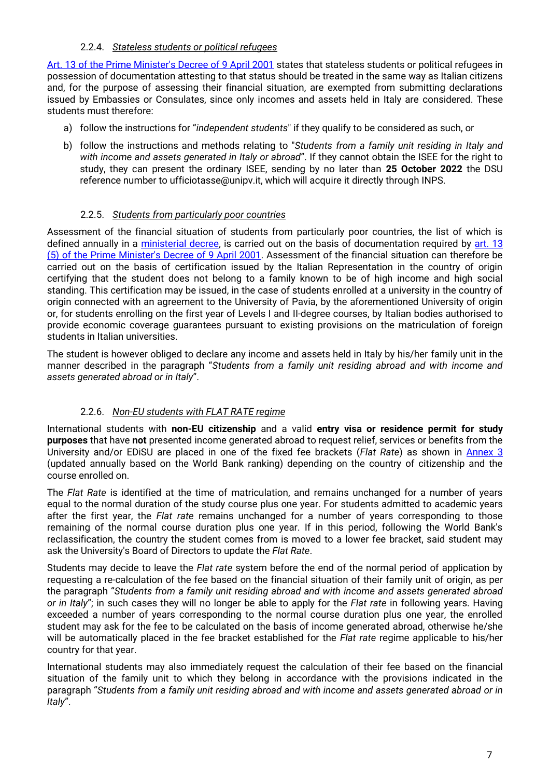#### 2.2.4. *Stateless students or political refugees*

<span id="page-6-0"></span>[Art. 13 of the Prime Minister's Decree of 9 April 2001](https://www.gazzettaufficiale.it/eli/id/2001/07/26/001A7955/sg) states that stateless students or political refugees in possession of documentation attesting to that status should be treated in the same way as Italian citizens and, for the purpose of assessing their financial situation, are exempted from submitting declarations issued by Embassies or Consulates, since only incomes and assets held in Italy are considered. These students must therefore:

- a) follow the instructions for "*independent students*" if they qualify to be considered as such, or
- b) follow the instructions and methods relating to "*Students from a family unit residing in Italy and with income and assets generated in Italy or abroad*". If they cannot obtain the ISEE for the right to study, they can present the ordinary ISEE, sending by no later than **25 October 2022** the DSU reference number to ufficiotasse@unipv.it, which will acquire it directly through INPS.

### 2.2.5. *Students from particularly poor countries*

<span id="page-6-1"></span>Assessment of the financial situation of students from particularly poor countries, the list of which is defined annually in a [ministerial decree,](https://www.mur.gov.it/sites/default/files/2022-05/Decreto%20Ministeriale%20n.%20344%20dell%E2%80%998-4-2022.pdf) is carried out on the basis of documentation required by art. 13 [\(5\) of the Prime Minister's Decree](https://www.gazzettaufficiale.it/eli/id/2001/07/26/001A7955/sg) of 9 April 2001. Assessment of the financial situation can therefore be carried out on the basis of certification issued by the Italian Representation in the country of origin certifying that the student does not belong to a family known to be of high income and high social standing. This certification may be issued, in the case of students enrolled at a university in the country of origin connected with an agreement to the University of Pavia, by the aforementioned University of origin or, for students enrolling on the first year of Levels I and II-degree courses, by Italian bodies authorised to provide economic coverage guarantees pursuant to existing provisions on the matriculation of foreign students in Italian universities.

The student is however obliged to declare any income and assets held in Italy by his/her family unit in the manner described in the paragraph "*Students from a family unit residing abroad and with income and assets generated abroad or in Italy*".

# 2.2.6. *Non-EU students with FLAT RATE regime*

<span id="page-6-3"></span><span id="page-6-2"></span>International students with **non-EU citizenship** and a valid **entry visa or residence permit for study purposes** that have **not** presented income generated abroad to request relief, services or benefits from the University and/or EDiSU are placed in one of the fixed fee brackets (*Flat Rate*) as shown in [Annex 3](#page-20-0) (updated annually based on the World Bank ranking) depending on the country of citizenship and the course enrolled on.

The *Flat Rate* is identified at the time of matriculation, and remains unchanged for a number of years equal to the normal duration of the study course plus one year. For students admitted to academic years after the first year, the *Flat rate* remains unchanged for a number of years corresponding to those remaining of the normal course duration plus one year. If in this period, following the World Bank's reclassification, the country the student comes from is moved to a lower fee bracket, said student may ask the University's Board of Directors to update the *Flat Rate*.

Students may decide to leave the *Flat rate* system before the end of the normal period of application by requesting a re-calculation of the fee based on the financial situation of their family unit of origin, as per the paragraph "*Students from a family unit residing abroad and with income and assets generated abroad or in Italy*"; in such cases they will no longer be able to apply for the *Flat rate* in following years. Having exceeded a number of years corresponding to the normal course duration plus one year, the enrolled student may ask for the fee to be calculated on the basis of income generated abroad, otherwise he/she will be automatically placed in the fee bracket established for the *Flat rate* regime applicable to his/her country for that year.

International students may also immediately request the calculation of their fee based on the financial situation of the family unit to which they belong in accordance with the provisions indicated in the paragraph "*Students from a family unit residing abroad and with income and assets generated abroad or in Italy*".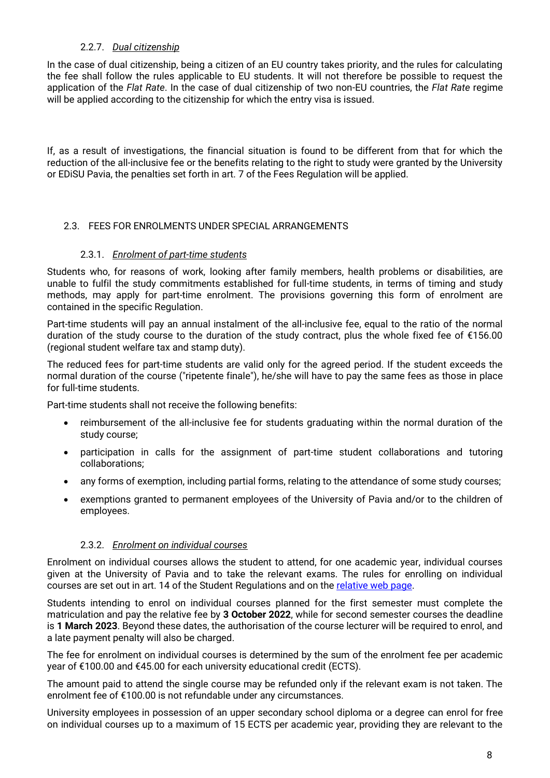### 2.2.7. *Dual citizenship*

<span id="page-7-0"></span>In the case of dual citizenship, being a citizen of an EU country takes priority, and the rules for calculating the fee shall follow the rules applicable to EU students. It will not therefore be possible to request the application of the *Flat Rate*. In the case of dual citizenship of two non-EU countries, the *Flat Rate* regime will be applied according to the citizenship for which the entry visa is issued.

If, as a result of investigations, the financial situation is found to be different from that for which the reduction of the all-inclusive fee or the benefits relating to the right to study were granted by the University or EDiSU Pavia, the penalties set forth in art. 7 of the Fees Regulation will be applied.

### <span id="page-7-1"></span>2.3. FEES FOR ENROLMENTS UNDER SPECIAL ARRANGEMENTS

#### 2.3.1. *Enrolment of part-time students*

<span id="page-7-2"></span>Students who, for reasons of work, looking after family members, health problems or disabilities, are unable to fulfil the study commitments established for full-time students, in terms of timing and study methods, may apply for part-time enrolment. The provisions governing this form of enrolment are contained in the specific Regulation.

Part-time students will pay an annual instalment of the all-inclusive fee, equal to the ratio of the normal duration of the study course to the duration of the study contract, plus the whole fixed fee of €156.00 (regional student welfare tax and stamp duty).

The reduced fees for part-time students are valid only for the agreed period. If the student exceeds the normal duration of the course ("ripetente finale"), he/she will have to pay the same fees as those in place for full-time students.

Part-time students shall not receive the following benefits:

- reimbursement of the all-inclusive fee for students graduating within the normal duration of the study course;
- participation in calls for the assignment of part-time student collaborations and tutoring collaborations;
- any forms of exemption, including partial forms, relating to the attendance of some study courses;
- exemptions granted to permanent employees of the University of Pavia and/or to the children of employees.

#### 2.3.2. *Enrolment on individual courses*

<span id="page-7-3"></span>Enrolment on individual courses allows the student to attend, for one academic year, individual courses given at the University of Pavia and to take the relevant exams. The rules for enrolling on individual courses are set out in art. 14 of the Student Regulations and on the [relative web page.](https://web.unipv.it/formazione/iscriversi-a-corsi-singoli/)

Students intending to enrol on individual courses planned for the first semester must complete the matriculation and pay the relative fee by **3 October 2022**, while for second semester courses the deadline is **1 March 2023**. Beyond these dates, the authorisation of the course lecturer will be required to enrol, and a late payment penalty will also be charged.

The fee for enrolment on individual courses is determined by the sum of the enrolment fee per academic year of €100.00 and €45.00 for each university educational credit (ECTS).

The amount paid to attend the single course may be refunded only if the relevant exam is not taken. The enrolment fee of €100.00 is not refundable under any circumstances.

University employees in possession of an upper secondary school diploma or a degree can enrol for free on individual courses up to a maximum of 15 ECTS per academic year, providing they are relevant to the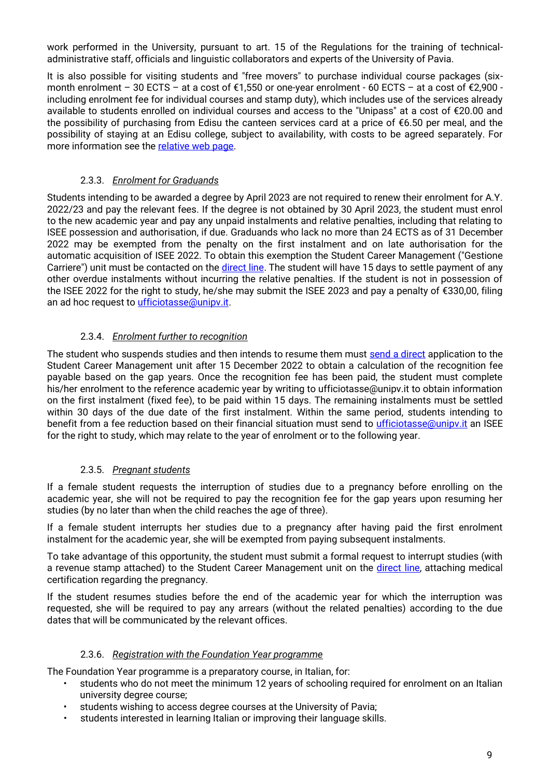work performed in the University, pursuant to art. 15 of the Regulations for the training of technicaladministrative staff, officials and linguistic collaborators and experts of the University of Pavia.

It is also possible for visiting students and "free movers" to purchase individual course packages (sixmonth enrolment – 30 ECTS – at a cost of  $\epsilon$ 1,550 or one-year enrolment - 60 ECTS – at a cost of  $\epsilon$ 2,900 including enrolment fee for individual courses and stamp duty), which includes use of the services already available to students enrolled on individual courses and access to the "Unipass" at a cost of €20.00 and the possibility of purchasing from Edisu the canteen services card at a price of €6.50 per meal, and the possibility of staying at an Edisu college, subject to availability, with costs to be agreed separately. For more information see the [relative web page.](https://web-en.unipv.it/info-for/visiting-students/)

# 2.3.3. *Enrolment for Graduands*

<span id="page-8-0"></span>Students intending to be awarded a degree by April 2023 are not required to renew their enrolment for A.Y. 2022/23 and pay the relevant fees. If the degree is not obtained by 30 April 2023, the student must enrol to the new academic year and pay any unpaid instalments and relative penalties, including that relating to ISEE possession and authorisation, if due. Graduands who lack no more than 24 ECTS as of 31 December 2022 may be exempted from the penalty on the first instalment and on late authorisation for the automatic acquisition of ISEE 2022. To obtain this exemption the Student Career Management ("Gestione Carriere") unit must be contacted on the [direct line.](https://a1700.gastonecrm.it/filo-diretto/#/login) The student will have 15 days to settle payment of any other overdue instalments without incurring the relative penalties. If the student is not in possession of the ISEE 2022 for the right to study, he/she may submit the ISEE 2023 and pay a penalty of €330,00, filing an ad hoc request to *ufficiotasse@unipv.it.* 

# 2.3.4. *Enrolment further to recognition*

<span id="page-8-1"></span>The student who suspends studies and then intends to resume them must [send a direct](https://a1700.gastonecrm.it/filo-diretto/#/login) application to the Student Career Management unit after 15 December 2022 to obtain a calculation of the recognition fee payable based on the gap years. Once the recognition fee has been paid, the student must complete his/her enrolment to the reference academic year by writing to ufficiotasse@unipv.it to obtain information on the first instalment (fixed fee), to be paid within 15 days. The remaining instalments must be settled within 30 days of the due date of the first instalment. Within the same period, students intending to benefit from a fee reduction based on their financial situation must send to *ufficiotasse@unipv.it* an ISEE for the right to study, which may relate to the year of enrolment or to the following year.

# 2.3.5. *Pregnant students*

<span id="page-8-2"></span>If a female student requests the interruption of studies due to a pregnancy before enrolling on the academic year, she will not be required to pay the recognition fee for the gap years upon resuming her studies (by no later than when the child reaches the age of three).

If a female student interrupts her studies due to a pregnancy after having paid the first enrolment instalment for the academic year, she will be exempted from paying subsequent instalments.

To take advantage of this opportunity, the student must submit a formal request to interrupt studies (with a revenue stamp attached) to the Student Career Management unit on the [direct line,](https://a1700.gastonecrm.it/filo-diretto/#/login) attaching medical certification regarding the pregnancy.

If the student resumes studies before the end of the academic year for which the interruption was requested, she will be required to pay any arrears (without the related penalties) according to the due dates that will be communicated by the relevant offices.

#### 2.3.6. *Registration with the Foundation Year programme*

<span id="page-8-3"></span>The Foundation Year programme is a preparatory course, in Italian, for:

- students who do not meet the minimum 12 years of schooling required for enrolment on an Italian university degree course;
- students wishing to access degree courses at the University of Pavia;
- students interested in learning Italian or improving their language skills.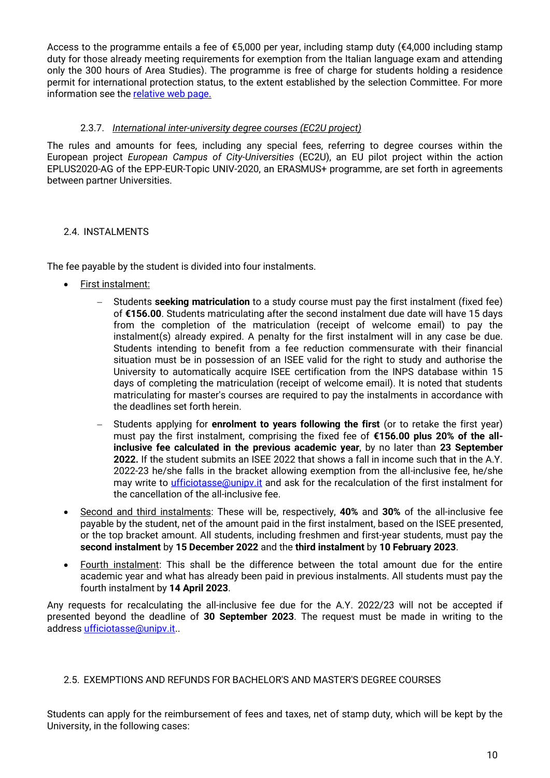Access to the programme entails a fee of €5,000 per year, including stamp duty (€4,000 including stamp duty for those already meeting requirements for exemption from the Italian language exam and attending only the 300 hours of Area Studies). The programme is free of charge for students holding a residence permit for international protection status, to the extent established by the selection Committee. For more information see the [relative web page.](https://web-en.unipv.it/info-for/foundation-year/)

### 2.3.7. *International inter-university degree courses (EC2U project)*

<span id="page-9-0"></span>The rules and amounts for fees, including any special fees, referring to degree courses within the European project *European Campus of City-Universities* (EC2U), an EU pilot project within the action EPLUS2020-AG of the EPP-EUR-Topic UNIV-2020, an ERASMUS+ programme, are set forth in agreements between partner Universities.

#### <span id="page-9-1"></span>2.4. INSTALMENTS

The fee payable by the student is divided into four instalments.

- First instalment:
	- − Students **seeking matriculation** to a study course must pay the first instalment (fixed fee) of **€156.00**. Students matriculating after the second instalment due date will have 15 days from the completion of the matriculation (receipt of welcome email) to pay the instalment(s) already expired. A penalty for the first instalment will in any case be due. Students intending to benefit from a fee reduction commensurate with their financial situation must be in possession of an ISEE valid for the right to study and authorise the University to automatically acquire ISEE certification from the INPS database within 15 days of completing the matriculation (receipt of welcome email). It is noted that students matriculating for master's courses are required to pay the instalments in accordance with the deadlines set forth herein.
	- − Students applying for **enrolment to years following the first** (or to retake the first year) must pay the first instalment, comprising the fixed fee of **€156.00 plus 20% of the allinclusive fee calculated in the previous academic year**, by no later than **23 September 2022.** If the student submits an ISEE 2022 that shows a fall in income such that in the A.Y. 2022-23 he/she falls in the bracket allowing exemption from the all-inclusive fee, he/she may write to [ufficiotasse@unipv.it](mailto:ufficiotasse@unipv.it) and ask for the recalculation of the first instalment for the cancellation of the all-inclusive fee.
- Second and third instalments: These will be, respectively, **40%** and **30%** of the all-inclusive fee payable by the student, net of the amount paid in the first instalment, based on the ISEE presented, or the top bracket amount. All students, including freshmen and first-year students, must pay the **second instalment** by **15 December 2022** and the **third instalment** by **10 February 2023**.
- Fourth instalment: This shall be the difference between the total amount due for the entire academic year and what has already been paid in previous instalments. All students must pay the fourth instalment by **14 April 2023**.

Any requests for recalculating the all-inclusive fee due for the A.Y. 2022/23 will not be accepted if presented beyond the deadline of **30 September 2023**. The request must be made in writing to the address [ufficiotasse@unipv.it.](mailto:ufficiotasse@unipv.it).

#### <span id="page-9-2"></span>2.5. EXEMPTIONS AND REFUNDS FOR BACHELOR'S AND MASTER'S DEGREE COURSES

Students can apply for the reimbursement of fees and taxes, net of stamp duty, which will be kept by the University, in the following cases: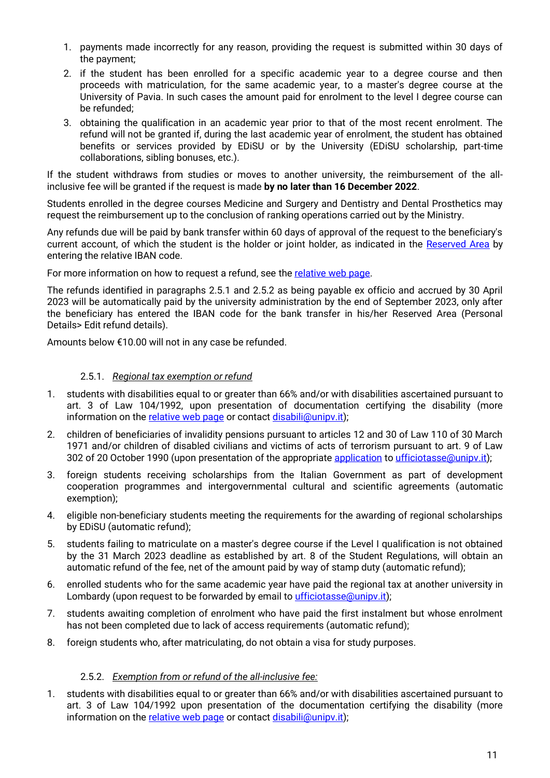- 1. payments made incorrectly for any reason, providing the request is submitted within 30 days of the payment;
- 2. if the student has been enrolled for a specific academic year to a degree course and then proceeds with matriculation, for the same academic year, to a master's degree course at the University of Pavia. In such cases the amount paid for enrolment to the level I degree course can be refunded;
- 3. obtaining the qualification in an academic year prior to that of the most recent enrolment. The refund will not be granted if, during the last academic year of enrolment, the student has obtained benefits or services provided by EDiSU or by the University (EDiSU scholarship, part-time collaborations, sibling bonuses, etc.).

If the student withdraws from studies or moves to another university, the reimbursement of the allinclusive fee will be granted if the request is made **by no later than 16 December 2022**.

Students enrolled in the degree courses Medicine and Surgery and Dentistry and Dental Prosthetics may request the reimbursement up to the conclusion of ranking operations carried out by the Ministry.

Any refunds due will be paid by bank transfer within 60 days of approval of the request to the beneficiary's current account, of which the student is the holder or joint holder, as indicated in the [Reserved Area](https://studentionline.unipv.it/esse3/Home.do) by entering the relative IBAN code.

For more information on how to request a refund, see the [relative web page.](https://web-en.unipv.it/info-for/fees-and-fundings/)

The refunds identified in paragraphs 2.5.1 and 2.5.2 as being payable ex officio and accrued by 30 April 2023 will be automatically paid by the university administration by the end of September 2023, only after the beneficiary has entered the IBAN code for the bank transfer in his/her Reserved Area (Personal Details> Edit refund details).

Amounts below €10.00 will not in any case be refunded.

#### 2.5.1. *Regional tax exemption or refund*

- <span id="page-10-0"></span>1. students with disabilities equal to or greater than 66% and/or with disabilities ascertained pursuant to art. 3 of Law 104/1992, upon presentation of documentation certifying the disability (more information on the [relative web page](https://saisd.unipv.it/index.php/en/) or contact [disabili@unipv.it\)](mailto:disabili@unipv.it);
- 2. children of beneficiaries of invalidity pensions pursuant to articles 12 and 30 of Law 110 of 30 March 1971 and/or children of disabled civilians and victims of acts of terrorism pursuant to art. 9 of Law 302 of 20 October 1990 (upon presentation of the appropriate [application](https://web.unipv.it/wp-content/uploads/2019/07/5289Modstud_Istanzaa-LN.pdf) to [ufficiotasse@unipv.it\)](mailto:ufficiotasse@unipv.it);
- 3. foreign students receiving scholarships from the Italian Government as part of development cooperation programmes and intergovernmental cultural and scientific agreements (automatic exemption);
- 4. eligible non-beneficiary students meeting the requirements for the awarding of regional scholarships by EDiSU (automatic refund);
- 5. students failing to matriculate on a master's degree course if the Level I qualification is not obtained by the 31 March 2023 deadline as established by art. 8 of the Student Regulations, will obtain an automatic refund of the fee, net of the amount paid by way of stamp duty (automatic refund);
- 6. enrolled students who for the same academic year have paid the regional tax at another university in Lombardy (upon request to be forwarded by email to *ufficiotasse*@unipv.it);
- 7. students awaiting completion of enrolment who have paid the first instalment but whose enrolment has not been completed due to lack of access requirements (automatic refund);
- 8. foreign students who, after matriculating, do not obtain a visa for study purposes.

#### 2.5.2. *Exemption from or refund of the all-inclusive fee:*

<span id="page-10-1"></span>1. students with disabilities equal to or greater than 66% and/or with disabilities ascertained pursuant to art. 3 of Law 104/1992 upon presentation of the documentation certifying the disability (more information on the [relative web page](https://saisd.unipv.it/index.php/en/) or contact [disabili@unipv.it\)](mailto:disabili@unipv.it);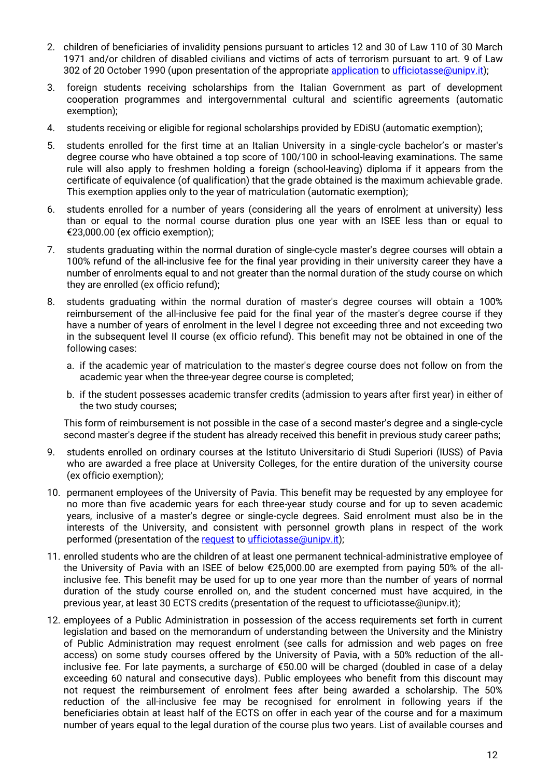- 2. children of beneficiaries of invalidity pensions pursuant to articles 12 and 30 of Law 110 of 30 March 1971 and/or children of disabled civilians and victims of acts of terrorism pursuant to art. 9 of Law 302 of 20 October 1990 (upon presentation of the appropriat[e application](https://web.unipv.it/wp-content/uploads/2019/07/5289Modstud_Istanzaa-LN.pdf) t[o ufficiotasse@unipv.it\)](mailto:ufficiotasse@unipv.it);
- 3. foreign students receiving scholarships from the Italian Government as part of development cooperation programmes and intergovernmental cultural and scientific agreements (automatic exemption);
- 4. students receiving or eligible for regional scholarships provided by EDiSU (automatic exemption);
- 5. students enrolled for the first time at an Italian University in a single-cycle bachelor's or master's degree course who have obtained a top score of 100/100 in school-leaving examinations. The same rule will also apply to freshmen holding a foreign (school-leaving) diploma if it appears from the certificate of equivalence (of qualification) that the grade obtained is the maximum achievable grade. This exemption applies only to the year of matriculation (automatic exemption);
- 6. students enrolled for a number of years (considering all the years of enrolment at university) less than or equal to the normal course duration plus one year with an ISEE less than or equal to €23,000.00 (ex officio exemption);
- 7. students graduating within the normal duration of single-cycle master's degree courses will obtain a 100% refund of the all-inclusive fee for the final year providing in their university career they have a number of enrolments equal to and not greater than the normal duration of the study course on which they are enrolled (ex officio refund);
- 8. students graduating within the normal duration of master's degree courses will obtain a 100% reimbursement of the all-inclusive fee paid for the final year of the master's degree course if they have a number of years of enrolment in the level I degree not exceeding three and not exceeding two in the subsequent level II course (ex officio refund). This benefit may not be obtained in one of the following cases:
	- a. if the academic year of matriculation to the master's degree course does not follow on from the academic year when the three-year degree course is completed;
	- b. if the student possesses academic transfer credits (admission to years after first year) in either of the two study courses;

This form of reimbursement is not possible in the case of a second master's degree and a single-cycle second master's degree if the student has already received this benefit in previous study career paths;

- 9. students enrolled on ordinary courses at the Istituto Universitario di Studi Superiori (IUSS) of Pavia who are awarded a free place at University Colleges, for the entire duration of the university course (ex officio exemption);
- 10. permanent employees of the University of Pavia. This benefit may be requested by any employee for no more than five academic years for each three-year study course and for up to seven academic years, inclusive of a master's degree or single-cycle degrees. Said enrolment must also be in the interests of the University, and consistent with personnel growth plans in respect of the work performed (presentation of the [request](https://web.unipv.it/wp-content/uploads/2021/10/benefit-dipendenti_2021.pdf) to [ufficiotasse@unipv.it\)](mailto:ufficiotasse@unipv.it);
- 11. enrolled students who are the children of at least one permanent technical-administrative employee of the University of Pavia with an ISEE of below €25,000.00 are exempted from paying 50% of the allinclusive fee. This benefit may be used for up to one year more than the number of years of normal duration of the study course enrolled on, and the student concerned must have acquired, in the previous year, at least 30 ECTS credits (presentation of the request to ufficiotasse@unipv.it);
- 12. employees of a Public Administration in possession of the access requirements set forth in current legislation and based on the memorandum of understanding between the University and the Ministry of Public Administration may request enrolment (see calls for admission and web pages on free access) on some study courses offered by the University of Pavia, with a 50% reduction of the allinclusive fee. For late payments, a surcharge of €50.00 will be charged (doubled in case of a delay exceeding 60 natural and consecutive days). Public employees who benefit from this discount may not request the reimbursement of enrolment fees after being awarded a scholarship. The 50% reduction of the all-inclusive fee may be recognised for enrolment in following years if the beneficiaries obtain at least half of the ECTS on offer in each year of the course and for a maximum number of years equal to the legal duration of the course plus two years. List of available courses and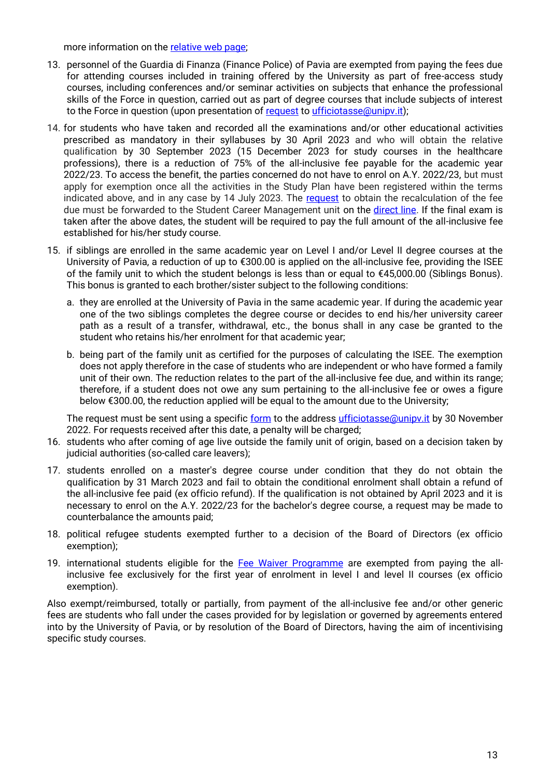more information on the [relative web page;](https://orienta.unipv.it/offerta-formativa-la-pubblica-amministrazione)

- 13. personnel of the Guardia di Finanza (Finance Police) of Pavia are exempted from paying the fees due for attending courses included in training offered by the University as part of free-access study courses, including conferences and/or seminar activities on subjects that enhance the professional skills of the Force in question, carried out as part of degree courses that include subjects of interest to the Force in question (upon presentation of [request](https://web.unipv.it/wp-content/uploads/2019/07/5289Modstud_Istanzaa-LN.pdf) to [ufficiotasse@unipv.it\)](mailto:ufficiotasse@unipv.it);
- 14. for students who have taken and recorded all the examinations and/or other educational activities prescribed as mandatory in their syllabuses by 30 April 2023 and who will obtain the relative qualification by 30 September 2023 (15 December 2023 for study courses in the healthcare professions), there is a reduction of 75% of the all-inclusive fee payable for the academic year 2022/23. To access the benefit, the parties concerned do not have to enrol on A.Y. 2022/23, but must apply for exemption once all the activities in the Study Plan have been registered within the terms indicated above, and in any case by 14 July 2023. The [request](https://web.unipv.it/wp-content/uploads/2019/07/5289Modstud_Istanzaa-LN.pdf) to obtain the recalculation of the fee due must be forwarded to the Student Career Management unit on the [direct line.](https://a1700.gastonecrm.it/filo-diretto/#/login) If the final exam is taken after the above dates, the student will be required to pay the full amount of the all-inclusive fee established for his/her study course.
- 15. if siblings are enrolled in the same academic year on Level I and/or Level II degree courses at the University of Pavia, a reduction of up to €300.00 is applied on the all-inclusive fee, providing the ISEE of the family unit to which the student belongs is less than or equal to €45,000.00 (Siblings Bonus). This bonus is granted to each brother/sister subject to the following conditions:
	- a. they are enrolled at the University of Pavia in the same academic year. If during the academic year one of the two siblings completes the degree course or decides to end his/her university career path as a result of a transfer, withdrawal, etc., the bonus shall in any case be granted to the student who retains his/her enrolment for that academic year;
	- b. being part of the family unit as certified for the purposes of calculating the ISEE. The exemption does not apply therefore in the case of students who are independent or who have formed a family unit of their own. The reduction relates to the part of the all-inclusive fee due, and within its range; therefore, if a student does not owe any sum pertaining to the all-inclusive fee or owes a figure below €300.00, the reduction applied will be equal to the amount due to the University;

The request must be sent using a specific [form](https://web.unipv.it/wp-content/uploads/2021/07/bonus-fratelli_2021.pdf) to the address [ufficiotasse@unipv.it](mailto:ufficiotasse@unipv.it) by 30 November 2022. For requests received after this date, a penalty will be charged;

- 16. students who after coming of age live outside the family unit of origin, based on a decision taken by judicial authorities (so-called care leavers);
- 17. students enrolled on a master's degree course under condition that they do not obtain the qualification by 31 March 2023 and fail to obtain the conditional enrolment shall obtain a refund of the all-inclusive fee paid (ex officio refund). If the qualification is not obtained by April 2023 and it is necessary to enrol on the A.Y. 2022/23 for the bachelor's degree course, a request may be made to counterbalance the amounts paid;
- 18. political refugee students exempted further to a decision of the Board of Directors (ex officio exemption);
- 19. international students eligible for the [Fee Waiver Programme](https://web-en.unipv.it/fee-waivers-22-23-to-all-international-students/) are exempted from paying the allinclusive fee exclusively for the first year of enrolment in level I and level II courses (ex officio exemption).

Also exempt/reimbursed, totally or partially, from payment of the all-inclusive fee and/or other generic fees are students who fall under the cases provided for by legislation or governed by agreements entered into by the University of Pavia, or by resolution of the Board of Directors, having the aim of incentivising specific study courses.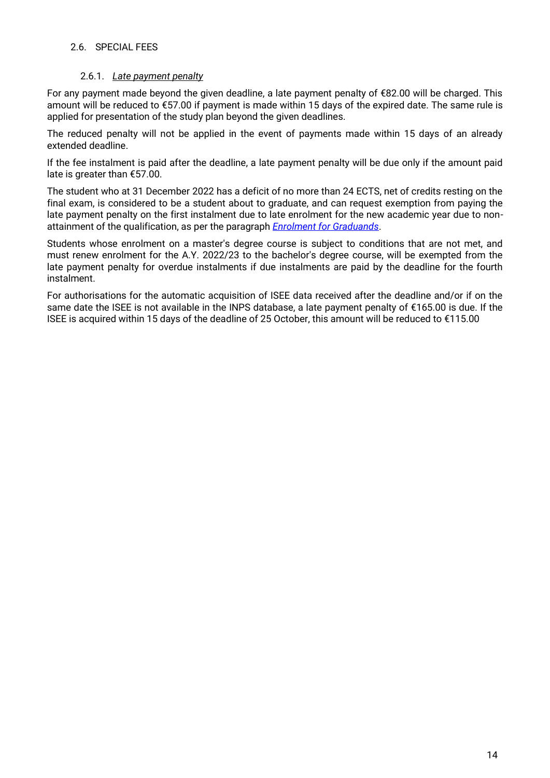#### <span id="page-13-0"></span>2.6. SPECIAL FEES

#### 2.6.1. *Late payment penalty*

<span id="page-13-1"></span>For any payment made beyond the given deadline, a late payment penalty of €82.00 will be charged. This amount will be reduced to €57.00 if payment is made within 15 days of the expired date. The same rule is applied for presentation of the study plan beyond the given deadlines.

The reduced penalty will not be applied in the event of payments made within 15 days of an already extended deadline.

If the fee instalment is paid after the deadline, a late payment penalty will be due only if the amount paid late is greater than €57.00.

The student who at 31 December 2022 has a deficit of no more than 24 ECTS, net of credits resting on the final exam, is considered to be a student about to graduate, and can request exemption from paying the late payment penalty on the first instalment due to late enrolment for the new academic year due to nonattainment of the qualification, as per the paragraph *[Enrolment for](#page-8-0) Graduands*.

Students whose enrolment on a master's degree course is subject to conditions that are not met, and must renew enrolment for the A.Y. 2022/23 to the bachelor's degree course, will be exempted from the late payment penalty for overdue instalments if due instalments are paid by the deadline for the fourth instalment.

For authorisations for the automatic acquisition of ISEE data received after the deadline and/or if on the same date the ISEE is not available in the INPS database, a late payment penalty of €165.00 is due. If the ISEE is acquired within 15 days of the deadline of 25 October, this amount will be reduced to €115.00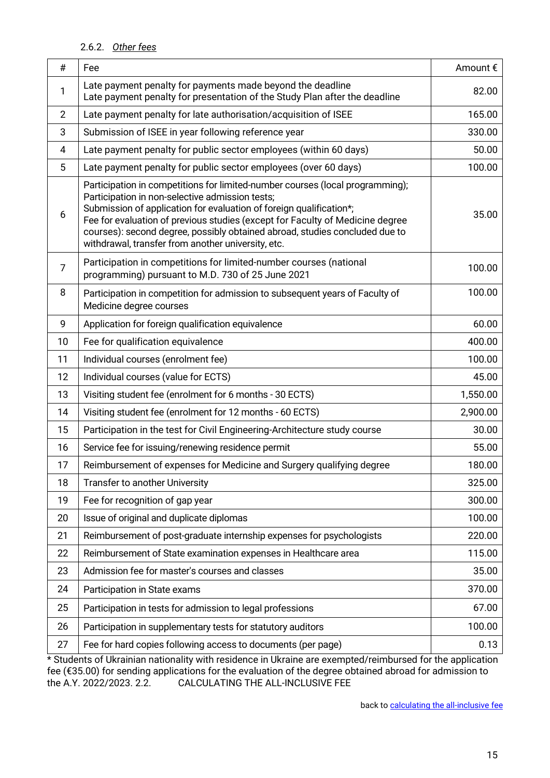## 2.6.2. *Other fees*

<span id="page-14-0"></span>

| #              | Fee                                                                                                                                                                                                                                                                                                                                                                                                                           | Amount € |
|----------------|-------------------------------------------------------------------------------------------------------------------------------------------------------------------------------------------------------------------------------------------------------------------------------------------------------------------------------------------------------------------------------------------------------------------------------|----------|
| 1              | Late payment penalty for payments made beyond the deadline<br>Late payment penalty for presentation of the Study Plan after the deadline                                                                                                                                                                                                                                                                                      | 82.00    |
| $\overline{2}$ | Late payment penalty for late authorisation/acquisition of ISEE                                                                                                                                                                                                                                                                                                                                                               | 165.00   |
| 3              | Submission of ISEE in year following reference year                                                                                                                                                                                                                                                                                                                                                                           | 330.00   |
| $\overline{4}$ | Late payment penalty for public sector employees (within 60 days)                                                                                                                                                                                                                                                                                                                                                             | 50.00    |
| 5              | Late payment penalty for public sector employees (over 60 days)                                                                                                                                                                                                                                                                                                                                                               | 100.00   |
| 6              | Participation in competitions for limited-number courses (local programming);<br>Participation in non-selective admission tests;<br>Submission of application for evaluation of foreign qualification*;<br>Fee for evaluation of previous studies (except for Faculty of Medicine degree<br>courses): second degree, possibly obtained abroad, studies concluded due to<br>withdrawal, transfer from another university, etc. | 35.00    |
| $\overline{7}$ | Participation in competitions for limited-number courses (national<br>programming) pursuant to M.D. 730 of 25 June 2021                                                                                                                                                                                                                                                                                                       | 100.00   |
| 8              | Participation in competition for admission to subsequent years of Faculty of<br>Medicine degree courses                                                                                                                                                                                                                                                                                                                       | 100.00   |
| 9              | Application for foreign qualification equivalence                                                                                                                                                                                                                                                                                                                                                                             | 60.00    |
| 10             | Fee for qualification equivalence                                                                                                                                                                                                                                                                                                                                                                                             | 400.00   |
| 11             | Individual courses (enrolment fee)                                                                                                                                                                                                                                                                                                                                                                                            | 100.00   |
| 12             | Individual courses (value for ECTS)                                                                                                                                                                                                                                                                                                                                                                                           | 45.00    |
| 13             | Visiting student fee (enrolment for 6 months - 30 ECTS)                                                                                                                                                                                                                                                                                                                                                                       | 1,550.00 |
| 14             | Visiting student fee (enrolment for 12 months - 60 ECTS)                                                                                                                                                                                                                                                                                                                                                                      | 2,900.00 |
| 15             | Participation in the test for Civil Engineering-Architecture study course                                                                                                                                                                                                                                                                                                                                                     | 30.00    |
| 16             | Service fee for issuing/renewing residence permit                                                                                                                                                                                                                                                                                                                                                                             | 55.00    |
| 17             | Reimbursement of expenses for Medicine and Surgery qualifying degree                                                                                                                                                                                                                                                                                                                                                          | 180.00   |
| 18             | Transfer to another University                                                                                                                                                                                                                                                                                                                                                                                                | 325.00   |
| 19             | Fee for recognition of gap year                                                                                                                                                                                                                                                                                                                                                                                               | 300.00   |
| 20             | Issue of original and duplicate diplomas                                                                                                                                                                                                                                                                                                                                                                                      | 100.00   |
| 21             | Reimbursement of post-graduate internship expenses for psychologists                                                                                                                                                                                                                                                                                                                                                          | 220.00   |
| 22             | Reimbursement of State examination expenses in Healthcare area                                                                                                                                                                                                                                                                                                                                                                | 115.00   |
| 23             | Admission fee for master's courses and classes                                                                                                                                                                                                                                                                                                                                                                                | 35.00    |
| 24             | Participation in State exams                                                                                                                                                                                                                                                                                                                                                                                                  | 370.00   |
| 25             | Participation in tests for admission to legal professions                                                                                                                                                                                                                                                                                                                                                                     | 67.00    |
| 26             | Participation in supplementary tests for statutory auditors                                                                                                                                                                                                                                                                                                                                                                   | 100.00   |
| 27             | Fee for hard copies following access to documents (per page)                                                                                                                                                                                                                                                                                                                                                                  | 0.13     |

\* Students of Ukrainian nationality with residence in Ukraine are exempted/reimbursed for the application fee (€35.00) for sending applications for the evaluation of the degree obtained abroad for admission to the A.Y. 2022/2023. 2.2. CALCULATING THE ALL-INCLUSIVE FEE

back t[o calculating the all-inclusive fee](#page-4-0)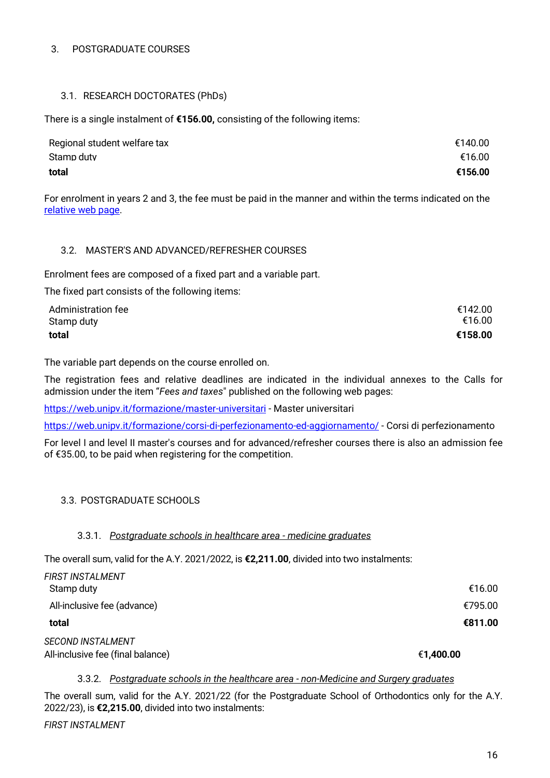#### <span id="page-15-0"></span>3. POSTGRADUATE COURSES

#### <span id="page-15-1"></span>3.1. RESEARCH DOCTORATES (PhDs)

There is a single instalment of **€156.00,** consisting of the following items:

| Regional student welfare tax | €140.00 |
|------------------------------|---------|
| Stamp duty                   | €16.00  |
| total                        | €156.00 |

For enrolment in years 2 and 3, the fee must be paid in the manner and within the terms indicated on the [relative web page.](http://phd.unipv.it/phd-programs/)

#### <span id="page-15-2"></span>3.2. MASTER'S AND ADVANCED/REFRESHER COURSES

Enrolment fees are composed of a fixed part and a variable part.

The fixed part consists of the following items:

| <b>Administration fee</b> | €142.00 |
|---------------------------|---------|
| Stamp duty                | €16.00  |
| total                     | €158.00 |

The variable part depends on the course enrolled on.

The registration fees and relative deadlines are indicated in the individual annexes to the Calls for admission under the item "*Fees and taxes*" published on the following web pages:

<https://web.unipv.it/formazione/master-universitari> - Master universitari

<https://web.unipv.it/formazione/corsi-di-perfezionamento-ed-aggiornamento/> - Corsi di perfezionamento

For level I and level II master's courses and for advanced/refresher courses there is also an admission fee of €35.00, to be paid when registering for the competition.

#### <span id="page-15-3"></span>3.3. POSTGRADUATE SCHOOLS

#### 3.3.1. *Postgraduate schools in healthcare area - medicine graduates*

<span id="page-15-4"></span>The overall sum, valid for the A.Y. 2021/2022, is **€2,211.00**, divided into two instalments:

| <b>FIRST INSTALMENT</b>           |           |
|-----------------------------------|-----------|
| Stamp duty                        | €16.00    |
| All-inclusive fee (advance)       | €795.00   |
| total                             | €811.00   |
| <b>SECOND INSTALMENT</b>          |           |
| All-inclusive fee (final balance) | €1,400.00 |

#### 3.3.2. *Postgraduate schools in the healthcare area - non-Medicine and Surgery graduates*

<span id="page-15-5"></span>The overall sum, valid for the A.Y. 2021/22 (for the Postgraduate School of Orthodontics only for the A.Y. 2022/23), is **€2,215.00**, divided into two instalments:

*FIRST INSTALMENT*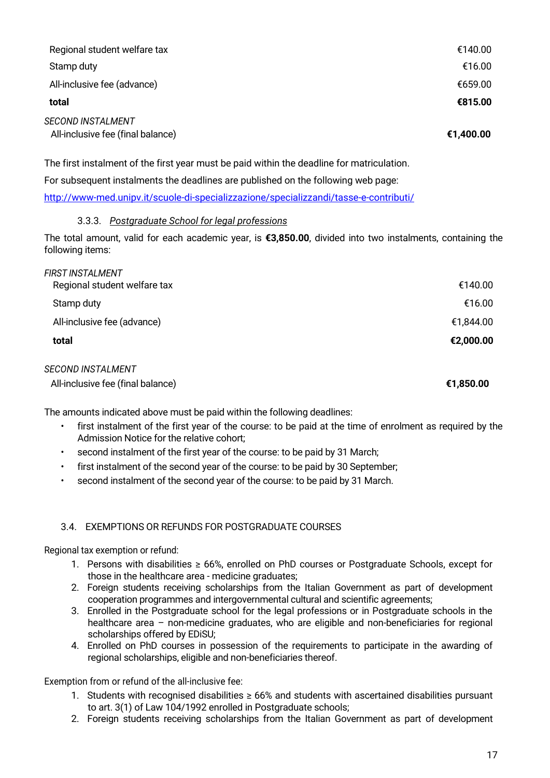| Regional student welfare tax                                  | €140.00   |
|---------------------------------------------------------------|-----------|
| Stamp duty                                                    | €16.00    |
| All-inclusive fee (advance)                                   | €659.00   |
| total                                                         | €815.00   |
| <b>SECOND INSTALMENT</b><br>All-inclusive fee (final balance) | €1,400.00 |

The first instalment of the first year must be paid within the deadline for matriculation.

For subsequent instalments the deadlines are published on the following web page:

<http://www-med.unipv.it/scuole-di-specializzazione/specializzandi/tasse-e-contributi/>

#### 3.3.3. *Postgraduate School for legal professions*

<span id="page-16-0"></span>The total amount, valid for each academic year, is **€3,850.00**, divided into two instalments, containing the following items:

| <b>FIRST INSTALMENT</b>           |           |
|-----------------------------------|-----------|
| Regional student welfare tax      | €140.00   |
| Stamp duty                        | €16.00    |
| All-inclusive fee (advance)       | €1,844.00 |
| total                             | €2,000.00 |
| <b>SECOND INSTALMENT</b>          |           |
| All-inclusive fee (final balance) | €1,850.00 |

The amounts indicated above must be paid within the following deadlines:

- first instalment of the first year of the course: to be paid at the time of enrolment as required by the Admission Notice for the relative cohort;
- second instalment of the first year of the course: to be paid by 31 March;
- first instalment of the second year of the course: to be paid by 30 September;
- second instalment of the second year of the course: to be paid by 31 March.

#### <span id="page-16-1"></span>3.4. EXEMPTIONS OR REFUNDS FOR POSTGRADUATE COURSES

Regional tax exemption or refund:

- 1. Persons with disabilities ≥ 66%, enrolled on PhD courses or Postgraduate Schools, except for those in the healthcare area - medicine graduates;
- 2. Foreign students receiving scholarships from the Italian Government as part of development cooperation programmes and intergovernmental cultural and scientific agreements;
- 3. Enrolled in the Postgraduate school for the legal professions or in Postgraduate schools in the healthcare area – non-medicine graduates, who are eligible and non-beneficiaries for regional scholarships offered by EDiSU;
- 4. Enrolled on PhD courses in possession of the requirements to participate in the awarding of regional scholarships, eligible and non-beneficiaries thereof.

Exemption from or refund of the all-inclusive fee:

- 1. Students with recognised disabilities ≥ 66% and students with ascertained disabilities pursuant to art. 3(1) of Law 104/1992 enrolled in Postgraduate schools;
- 2. Foreign students receiving scholarships from the Italian Government as part of development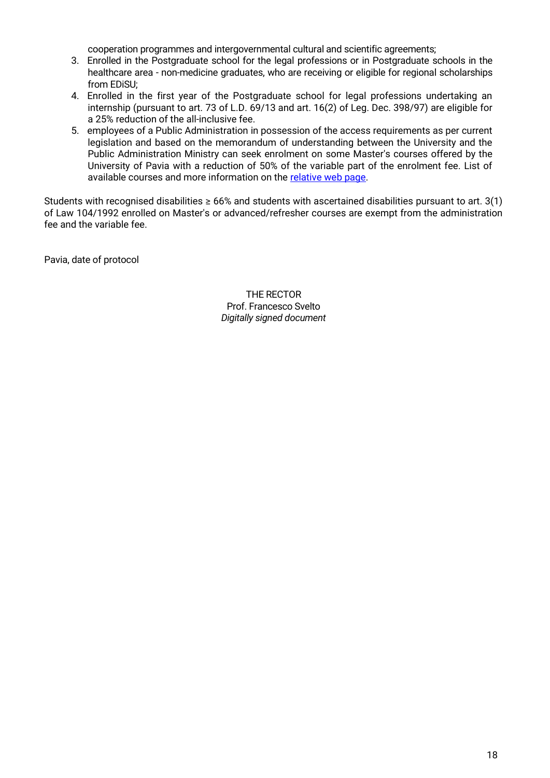cooperation programmes and intergovernmental cultural and scientific agreements;

- 3. Enrolled in the Postgraduate school for the legal professions or in Postgraduate schools in the healthcare area - non-medicine graduates, who are receiving or eligible for regional scholarships from EDiSU;
- 4. Enrolled in the first year of the Postgraduate school for legal professions undertaking an internship (pursuant to art. 73 of L.D. 69/13 and art. 16(2) of Leg. Dec. 398/97) are eligible for a 25% reduction of the all-inclusive fee.
- 5. employees of a Public Administration in possession of the access requirements as per current legislation and based on the memorandum of understanding between the University and the Public Administration Ministry can seek enrolment on some Master's courses offered by the University of Pavia with a reduction of 50% of the variable part of the enrolment fee. List of available courses and more information on the [relative web page.](https://orienta.unipv.it/offerta-formativa-la-pubblica-amministrazione)

Students with recognised disabilities  $\geq 66\%$  and students with ascertained disabilities pursuant to art. 3(1) of Law 104/1992 enrolled on Master's or advanced/refresher courses are exempt from the administration fee and the variable fee.

<span id="page-17-1"></span><span id="page-17-0"></span>Pavia, date of protocol

THE RECTOR Prof. Francesco Svelto *Digitally signed document*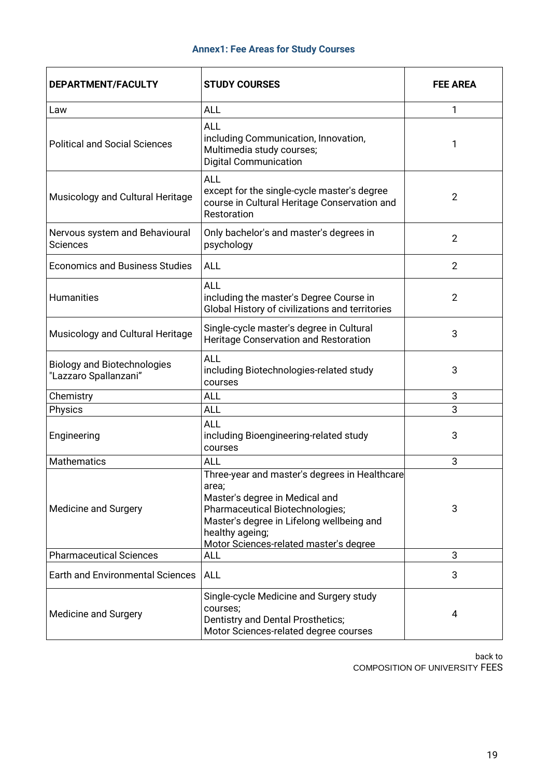# **Annex1: Fee Areas for Study Courses**

<span id="page-18-0"></span>

| DEPARTMENT/FACULTY                                          | <b>STUDY COURSES</b>                                                                                                                                                                                                                  | <b>FEE AREA</b> |  |
|-------------------------------------------------------------|---------------------------------------------------------------------------------------------------------------------------------------------------------------------------------------------------------------------------------------|-----------------|--|
| Law                                                         | <b>ALL</b>                                                                                                                                                                                                                            | 1               |  |
| <b>Political and Social Sciences</b>                        | <b>ALL</b><br>including Communication, Innovation,<br>Multimedia study courses;<br><b>Digital Communication</b>                                                                                                                       | 1               |  |
| Musicology and Cultural Heritage                            | <b>ALL</b><br>except for the single-cycle master's degree<br>course in Cultural Heritage Conservation and<br>Restoration                                                                                                              | $\overline{2}$  |  |
| Nervous system and Behavioural<br><b>Sciences</b>           | Only bachelor's and master's degrees in<br>psychology                                                                                                                                                                                 | $\overline{2}$  |  |
| <b>Economics and Business Studies</b>                       | <b>ALL</b>                                                                                                                                                                                                                            | $\overline{2}$  |  |
| <b>Humanities</b>                                           | <b>ALL</b><br>including the master's Degree Course in<br>Global History of civilizations and territories                                                                                                                              | $\overline{2}$  |  |
| Musicology and Cultural Heritage                            | Single-cycle master's degree in Cultural<br>Heritage Conservation and Restoration                                                                                                                                                     | 3               |  |
| <b>Biology and Biotechnologies</b><br>"Lazzaro Spallanzani" | <b>ALL</b><br>including Biotechnologies-related study<br>courses                                                                                                                                                                      | 3               |  |
| Chemistry                                                   | ALL                                                                                                                                                                                                                                   | 3               |  |
| Physics                                                     | <b>ALL</b>                                                                                                                                                                                                                            | 3               |  |
| Engineering                                                 | <b>ALL</b><br>including Bioengineering-related study<br>courses                                                                                                                                                                       | 3               |  |
| <b>Mathematics</b>                                          | ALL                                                                                                                                                                                                                                   | 3               |  |
| Medicine and Surgery                                        | Three-year and master's degrees in Healthcare<br>area;<br>Master's degree in Medical and<br>Pharmaceutical Biotechnologies;<br>Master's degree in Lifelong wellbeing and<br>healthy ageing;<br>Motor Sciences-related master's degree | 3               |  |
| <b>Pharmaceutical Sciences</b>                              | ALL                                                                                                                                                                                                                                   | 3               |  |
| <b>Earth and Environmental Sciences</b>                     | <b>ALL</b>                                                                                                                                                                                                                            | 3               |  |
| Medicine and Surgery                                        | Single-cycle Medicine and Surgery study<br>courses;<br>Dentistry and Dental Prosthetics;<br>Motor Sciences-related degree courses                                                                                                     | 4               |  |

<span id="page-18-1"></span>back t[o](_Ref67558801)  [COMPOSITION OF UNIVERSITY](_Ref67558801) FEES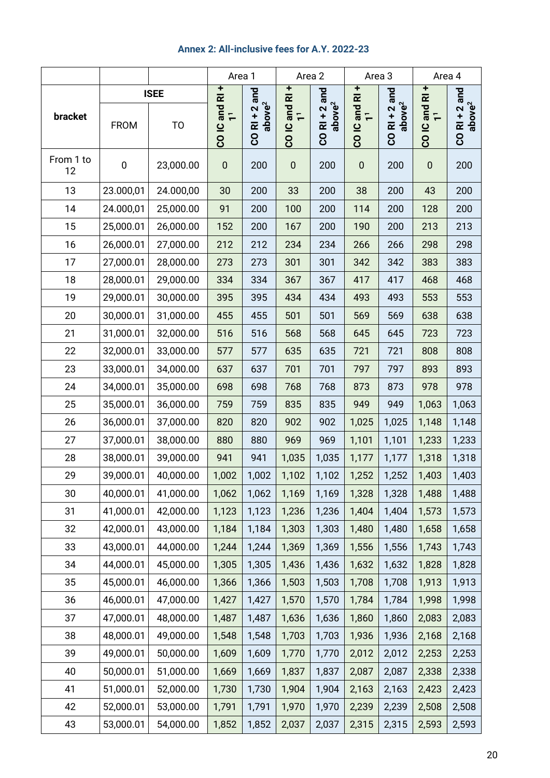# **Annex 2: All-inclusive fees for A.Y. 2022-23**

<span id="page-19-0"></span>

|                 |             |                | Area 1                                                            |                                   | Area 2                    |                                           | Area 3                                  |                                           | Area 4                                    |                                           |
|-----------------|-------------|----------------|-------------------------------------------------------------------|-----------------------------------|---------------------------|-------------------------------------------|-----------------------------------------|-------------------------------------------|-------------------------------------------|-------------------------------------------|
|                 |             | <b>ISEE</b>    |                                                                   | and                               | ۰                         | and                                       | ۰                                       | and                                       | Ŧ<br>$\overline{\mathbf{r}}$              | and                                       |
| bracket         | <b>FROM</b> | T <sub>O</sub> | $\overline{\mathbf{r}}$<br>CO <sub>IC</sub> and<br>$\overline{r}$ | above <sup>2</sup><br>$CO$ RI + 2 | CO IC and RI<br>$\bar{+}$ | above <sup>2</sup><br>$+2$<br><b>CORI</b> | and RI<br>1 <sup>1</sup><br><b>COIC</b> | above <sup>2</sup><br>$+2$<br><b>CORI</b> | and<br>$\overline{r}$<br>CO <sub>IC</sub> | above <sup>2</sup><br>$+2$<br><b>CORI</b> |
| From 1 to<br>12 | $\mathbf 0$ | 23,000.00      | $\pmb{0}$                                                         | 200                               | $\pmb{0}$                 | 200                                       | $\pmb{0}$                               | 200                                       | $\pmb{0}$                                 | 200                                       |
| 13              | 23.000,01   | 24.000,00      | 30                                                                | 200                               | 33                        | 200                                       | 38                                      | 200                                       | 43                                        | 200                                       |
| 14              | 24.000,01   | 25,000.00      | 91                                                                | 200                               | 100                       | 200                                       | 114                                     | 200                                       | 128                                       | 200                                       |
| 15              | 25,000.01   | 26,000.00      | 152                                                               | 200                               | 167                       | 200                                       | 190                                     | 200                                       | 213                                       | 213                                       |
| 16              | 26,000.01   | 27,000.00      | 212                                                               | 212                               | 234                       | 234                                       | 266                                     | 266                                       | 298                                       | 298                                       |
| 17              | 27,000.01   | 28,000.00      | 273                                                               | 273                               | 301                       | 301                                       | 342                                     | 342                                       | 383                                       | 383                                       |
| 18              | 28,000.01   | 29,000.00      | 334                                                               | 334                               | 367                       | 367                                       | 417                                     | 417                                       | 468                                       | 468                                       |
| 19              | 29,000.01   | 30,000.00      | 395                                                               | 395                               | 434                       | 434                                       | 493                                     | 493                                       | 553                                       | 553                                       |
| 20              | 30,000.01   | 31,000.00      | 455                                                               | 455                               | 501                       | 501                                       | 569                                     | 569                                       | 638                                       | 638                                       |
| 21              | 31,000.01   | 32,000.00      | 516                                                               | 516                               | 568                       | 568                                       | 645                                     | 645                                       | 723                                       | 723                                       |
| 22              | 32,000.01   | 33,000.00      | 577                                                               | 577                               | 635                       | 635                                       | 721                                     | 721                                       | 808                                       | 808                                       |
| 23              | 33,000.01   | 34,000.00      | 637                                                               | 637                               | 701                       | 701                                       | 797                                     | 797                                       | 893                                       | 893                                       |
| 24              | 34,000.01   | 35,000.00      | 698                                                               | 698                               | 768                       | 768                                       | 873                                     | 873                                       | 978                                       | 978                                       |
| 25              | 35,000.01   | 36,000.00      | 759                                                               | 759                               | 835                       | 835                                       | 949                                     | 949                                       | 1,063                                     | 1,063                                     |
| 26              | 36,000.01   | 37,000.00      | 820                                                               | 820                               | 902                       | 902                                       | 1,025                                   | 1,025                                     | 1,148                                     | 1,148                                     |
| 27              | 37,000.01   | 38,000.00      | 880                                                               | 880                               | 969                       | 969                                       | 1,101                                   | 1,101                                     | 1,233                                     | 1,233                                     |
| 28              | 38,000.01   | 39,000.00      | 941                                                               | 941                               | 1,035                     | 1,035                                     | 1,177                                   | 1,177                                     | 1,318                                     | 1,318                                     |
| 29              | 39,000.01   | 40,000.00      | 1,002                                                             | 1,002                             | 1,102                     | 1,102                                     | 1,252                                   | 1,252                                     | 1,403                                     | 1,403                                     |
| 30              | 40,000.01   | 41,000.00      | 1,062                                                             | 1,062                             | 1,169                     | 1,169                                     | 1,328                                   | 1,328                                     | 1,488                                     | 1,488                                     |
| 31              | 41,000.01   | 42,000.00      | 1,123                                                             | 1,123                             | 1,236                     | 1,236                                     | 1,404                                   | 1,404                                     | 1,573                                     | 1,573                                     |
| 32              | 42,000.01   | 43,000.00      | 1,184                                                             | 1,184                             | 1,303                     | 1,303                                     | 1,480                                   | 1,480                                     | 1,658                                     | 1,658                                     |
| 33              | 43,000.01   | 44,000.00      | 1,244                                                             | 1,244                             | 1,369                     | 1,369                                     | 1,556                                   | 1,556                                     | 1,743                                     | 1,743                                     |
| 34              | 44,000.01   | 45,000.00      | 1,305                                                             | 1,305                             | 1,436                     | 1,436                                     | 1,632                                   | 1,632                                     | 1,828                                     | 1,828                                     |
| 35              | 45,000.01   | 46,000.00      | 1,366                                                             | 1,366                             | 1,503                     | 1,503                                     | 1,708                                   | 1,708                                     | 1,913                                     | 1,913                                     |
| 36              | 46,000.01   | 47,000.00      | 1,427                                                             | 1,427                             | 1,570                     | 1,570                                     | 1,784                                   | 1,784                                     | 1,998                                     | 1,998                                     |
| 37              | 47,000.01   | 48,000.00      | 1,487                                                             | 1,487                             | 1,636                     | 1,636                                     | 1,860                                   | 1,860                                     | 2,083                                     | 2,083                                     |
| 38              | 48,000.01   | 49,000.00      | 1,548                                                             | 1,548                             | 1,703                     | 1,703                                     | 1,936                                   | 1,936                                     | 2,168                                     | 2,168                                     |
| 39              | 49,000.01   | 50,000.00      | 1,609                                                             | 1,609                             | 1,770                     | 1,770                                     | 2,012                                   | 2,012                                     | 2,253                                     | 2,253                                     |
| 40              | 50,000.01   | 51,000.00      | 1,669                                                             | 1,669                             | 1,837                     | 1,837                                     | 2,087                                   | 2,087                                     | 2,338                                     | 2,338                                     |
| 41              | 51,000.01   | 52,000.00      | 1,730                                                             | 1,730                             | 1,904                     | 1,904                                     | 2,163                                   | 2,163                                     | 2,423                                     | 2,423                                     |
| 42              | 52,000.01   | 53,000.00      | 1,791                                                             | 1,791                             | 1,970                     | 1,970                                     | 2,239                                   | 2,239                                     | 2,508                                     | 2,508                                     |
| 43              | 53,000.01   | 54,000.00      | 1,852                                                             | 1,852                             | 2,037                     | 2,037                                     | 2,315                                   | 2,315                                     | 2,593                                     | 2,593                                     |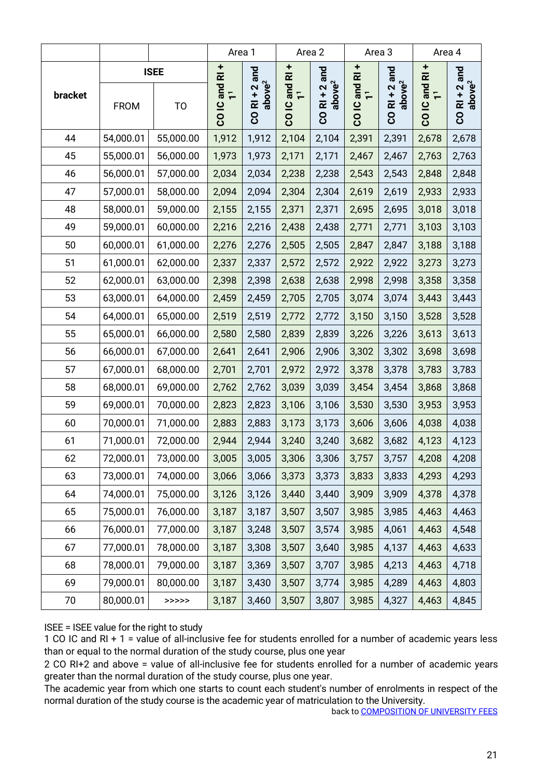|         |             |                                                   |                                         | Area 1                                            |                                                                                  | Area 2                                     |                                                         | Area 3                                                        |                                       | Area 4                                        |
|---------|-------------|---------------------------------------------------|-----------------------------------------|---------------------------------------------------|----------------------------------------------------------------------------------|--------------------------------------------|---------------------------------------------------------|---------------------------------------------------------------|---------------------------------------|-----------------------------------------------|
| bracket | <b>FROM</b> | <b>ISEE</b><br>T <sub>O</sub>                     | ÷<br>$\bar{\alpha}$<br>CO <sub>IC</sub> | and<br>above <sup>2</sup><br>$+2$<br><b>CO RI</b> | $\pm$<br>$\overline{\mathbf{r}}$<br>and<br>$\overline{r}$<br>$\overline{a}$<br>8 | and<br>above <sup>2</sup><br>$R1 + 2$<br>8 | $\frac{1}{\alpha}$<br>and<br>$\bar{+}$<br><u>ٍ</u><br>8 | and<br>above <sup>2</sup><br>$\mathbf{\Omega}$<br><b>CORI</b> | $\frac{1}{R}$<br>and<br><u>ٍ</u><br>8 | and<br>above <sup>2</sup><br>2<br><b>CORI</b> |
| 44      | 54,000.01   | 55,000.00                                         | 1,912                                   | 1,912                                             | 2,104                                                                            | 2,104                                      | 2,391                                                   | 2,391                                                         | 2,678                                 | 2,678                                         |
| 45      | 55,000.01   | 56,000.00                                         | 1,973                                   | 1,973                                             | 2,171                                                                            | 2,171                                      | 2,467                                                   | 2,467                                                         | 2,763                                 | 2,763                                         |
| 46      | 56,000.01   | 57,000.00                                         | 2,034                                   | 2,034                                             | 2,238                                                                            | 2,238                                      | 2,543                                                   | 2,543                                                         | 2,848                                 | 2,848                                         |
| 47      | 57,000.01   | 58,000.00                                         | 2,094                                   | 2,094                                             | 2,304                                                                            | 2,304                                      | 2,619                                                   | 2,619                                                         | 2,933                                 | 2,933                                         |
| 48      | 58,000.01   | 59,000.00                                         | 2,155                                   | 2,155                                             | 2,371                                                                            | 2,371                                      | 2,695                                                   | 2,695                                                         | 3,018                                 | 3,018                                         |
| 49      | 59,000.01   | 60,000.00                                         | 2,216                                   | 2,216                                             | 2,438                                                                            | 2,438                                      | 2,771                                                   | 2,771                                                         | 3,103                                 | 3,103                                         |
| 50      | 60,000.01   | 61,000.00                                         | 2,276                                   | 2,276                                             | 2,505                                                                            | 2,505                                      | 2,847                                                   | 2,847                                                         | 3,188                                 | 3,188                                         |
| 51      | 61,000.01   | 62,000.00                                         | 2,337                                   | 2,337                                             | 2,572                                                                            | 2,572                                      | 2,922                                                   | 2,922                                                         | 3,273                                 | 3,273                                         |
| 52      | 62,000.01   | 63,000.00                                         | 2,398                                   | 2,398                                             | 2,638                                                                            | 2,638                                      | 2,998                                                   | 2,998                                                         | 3,358                                 | 3,358                                         |
| 53      | 63,000.01   | 64,000.00                                         | 2,459                                   | 2,459                                             | 2,705                                                                            | 2,705                                      | 3,074                                                   | 3,074                                                         | 3,443                                 | 3,443                                         |
| 54      | 64,000.01   | 65,000.00                                         | 2,519                                   | 2,519                                             | 2,772                                                                            | 2,772                                      | 3,150                                                   | 3,150                                                         | 3,528                                 | 3,528                                         |
| 55      | 65,000.01   | 66,000.00                                         | 2,580                                   | 2,580                                             | 2,839                                                                            | 2,839                                      | 3,226                                                   | 3,226                                                         | 3,613                                 | 3,613                                         |
| 56      | 66,000.01   | 67,000.00                                         | 2,641                                   | 2,641                                             | 2,906                                                                            | 2,906                                      | 3,302                                                   | 3,302                                                         | 3,698                                 | 3,698                                         |
| 57      | 67,000.01   | 68,000.00                                         | 2,701                                   | 2,701                                             | 2,972                                                                            | 2,972                                      | 3,378                                                   | 3,378                                                         | 3,783                                 | 3,783                                         |
| 58      | 68,000.01   | 69,000.00                                         | 2,762                                   | 2,762                                             | 3,039                                                                            | 3,039                                      | 3,454                                                   | 3,454                                                         | 3,868                                 | 3,868                                         |
| 59      | 69,000.01   | 70,000.00                                         | 2,823                                   | 2,823                                             | 3,106                                                                            | 3,106                                      | 3,530                                                   | 3,530                                                         | 3,953                                 | 3,953                                         |
| 60      | 70,000.01   | 71,000.00                                         | 2,883                                   | 2,883                                             | 3,173                                                                            | 3,173                                      | 3,606                                                   | 3,606                                                         | 4,038                                 | 4,038                                         |
| 61      | 71,000.01   | 72,000.00                                         | 2,944                                   | 2,944                                             | 3,240                                                                            | 3,240                                      | 3,682                                                   | 3,682                                                         | 4,123                                 | 4,123                                         |
| 62      | 72,000.01   | 73,000.00                                         | 3,005                                   | 3,005                                             | 3,306                                                                            |                                            | $3,306$ $3,757$                                         | 3,757                                                         | 4,208                                 | 4,208                                         |
| 63      | 73,000.01   | 74,000.00                                         | 3,066                                   | 3,066                                             | 3,373                                                                            | 3,373                                      | 3,833                                                   | 3,833                                                         | 4,293                                 | 4,293                                         |
| 64      | 74,000.01   | 75,000.00                                         | 3,126                                   | 3,126                                             | 3,440                                                                            | 3,440                                      | 3,909                                                   | 3,909                                                         | 4,378                                 | 4,378                                         |
| 65      | 75,000.01   | 76,000.00                                         | 3,187                                   | 3,187                                             | 3,507                                                                            | 3,507                                      | 3,985                                                   | 3,985                                                         | 4,463                                 | 4,463                                         |
| 66      | 76,000.01   | 77,000.00                                         | 3,187                                   | 3,248                                             | 3,507                                                                            | 3,574                                      | 3,985                                                   | 4,061                                                         | 4,463                                 | 4,548                                         |
| 67      | 77,000.01   | 78,000.00                                         | 3,187                                   | 3,308                                             | 3,507                                                                            | 3,640                                      | 3,985                                                   | 4,137                                                         | 4,463                                 | 4,633                                         |
| 68      | 78,000.01   | 79,000.00                                         | 3,187                                   | 3,369                                             | 3,507                                                                            | 3,707                                      | 3,985                                                   | 4,213                                                         | 4,463                                 | 4,718                                         |
| 69      | 79,000.01   | 80,000.00                                         | 3,187                                   | 3,430                                             | 3,507                                                                            | 3,774                                      | 3,985                                                   | 4,289                                                         | 4,463                                 | 4,803                                         |
| 70      | 80,000.01   | $\rightarrow \rightarrow \rightarrow \rightarrow$ | 3,187                                   | 3,460                                             | 3,507                                                                            | 3,807                                      | 3,985                                                   | 4,327                                                         | 4,463                                 | 4,845                                         |

#### ISEE = ISEE value for the right to study

1 CO IC and RI + 1 = value of all-inclusive fee for students enrolled for a number of academic years less than or equal to the normal duration of the study course, plus one year

2 CO RI+2 and above = value of all-inclusive fee for students enrolled for a number of academic years greater than the normal duration of the study course, plus one year.

The academic year from which one starts to count each student's number of enrolments in respect of the normal duration of the study course is the academic year of matriculation to the University.

<span id="page-20-0"></span>back to <u>COMPOSITION OF UNIVERSITY FEES</u>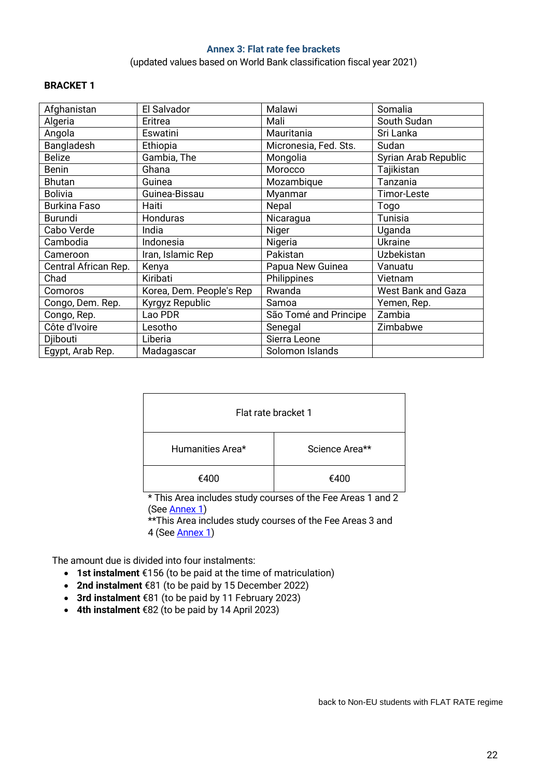#### **Annex 3: Flat rate fee brackets**

(updated values based on World Bank classification fiscal year 2021)

#### <span id="page-21-0"></span>**BRACKET 1**

| Afghanistan          | El Salvador              | Malawi                | Somalia                   |
|----------------------|--------------------------|-----------------------|---------------------------|
| Algeria              | Eritrea                  | Mali                  | South Sudan               |
| Angola               | Eswatini                 | Mauritania            | Sri Lanka                 |
| Bangladesh           | Ethiopia                 | Micronesia, Fed. Sts. | Sudan                     |
| <b>Belize</b>        | Gambia, The              | Mongolia              | Syrian Arab Republic      |
| <b>Benin</b>         | Ghana                    | Morocco               | Tajikistan                |
| <b>Bhutan</b>        | Guinea                   | Mozambique            | Tanzania                  |
| <b>Bolivia</b>       | Guinea-Bissau            | Myanmar               | Timor-Leste               |
| <b>Burkina Faso</b>  | Haiti                    | Nepal                 | Togo                      |
| <b>Burundi</b>       | Honduras                 | Nicaragua             | Tunisia                   |
| Cabo Verde           | India                    | Niger                 | Uganda                    |
| Cambodia             | Indonesia                | Nigeria               | <b>Ukraine</b>            |
| Cameroon             | Iran, Islamic Rep        | Pakistan              | Uzbekistan                |
| Central African Rep. | Kenya                    | Papua New Guinea      | Vanuatu                   |
| Chad                 | Kiribati                 | Philippines           | Vietnam                   |
| Comoros              | Korea, Dem. People's Rep | Rwanda                | <b>West Bank and Gaza</b> |
| Congo, Dem. Rep.     | Kyrgyz Republic          | Samoa                 | Yemen, Rep.               |
| Congo, Rep.          | Lao PDR                  | São Tomé and Principe | Zambia                    |
| Côte d'Ivoire        | Lesotho                  | Senegal               | Zimbabwe                  |
| Djibouti             | Liberia                  | Sierra Leone          |                           |
| Egypt, Arab Rep.     | Madagascar               | Solomon Islands       |                           |

| Flat rate bracket 1 |                |  |  |  |
|---------------------|----------------|--|--|--|
| Humanities Area*    | Science Area** |  |  |  |
| €400                | €400           |  |  |  |

\* This Area includes study courses of the Fee Areas 1 and 2 (See **Annex 1**)

\*\*This Area includes study courses of the Fee Areas 3 and 4 (Se[e Annex 1\)](#page-17-0)

The amount due is divided into four instalments:

- **1st instalment** €156 (to be paid at the time of matriculation)
- **2nd instalment** €81 (to be paid by 15 December 2022)
- **3rd instalment** €81 (to be paid by 11 February 2023)
- **4th instalment** €82 (to be paid by 14 April 2023)

back to [Non-EU students with](_Ref67562589) FLAT RATE regime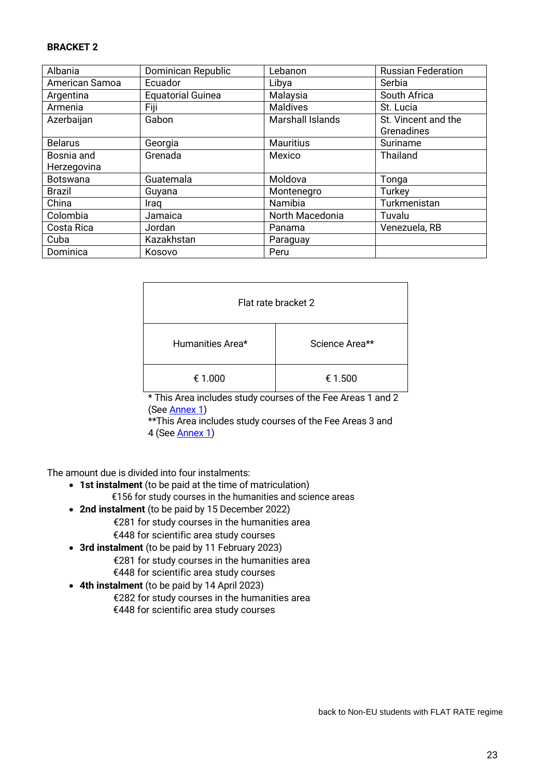#### **BRACKET 2**

| Albania         | Dominican Republic       | Lebanon                 | <b>Russian Federation</b> |
|-----------------|--------------------------|-------------------------|---------------------------|
| American Samoa  | Ecuador                  | Libya                   | Serbia                    |
| Argentina       | <b>Equatorial Guinea</b> | Malaysia                | South Africa              |
| Armenia         | Fiji                     | <b>Maldives</b>         | St. Lucia                 |
| Azerbaijan      | Gabon                    | <b>Marshall Islands</b> | St. Vincent and the       |
|                 |                          |                         | Grenadines                |
| <b>Belarus</b>  | Georgia                  | <b>Mauritius</b>        | Suriname                  |
| Bosnia and      | Grenada                  | Mexico                  | <b>Thailand</b>           |
| Herzegovina     |                          |                         |                           |
| <b>Botswana</b> | Guatemala                | Moldova                 | Tonga                     |
| <b>Brazil</b>   | Guyana                   | Montenegro              | Turkey                    |
| China           | Iraq                     | Namibia                 | Turkmenistan              |
| Colombia        | Jamaica                  | North Macedonia         | Tuvalu                    |
| Costa Rica      | Jordan                   | Panama                  | Venezuela, RB             |
| Cuba            | Kazakhstan               | Paraguay                |                           |
| Dominica        | Kosovo                   | Peru                    |                           |

| Flat rate bracket 2 |                |  |  |  |
|---------------------|----------------|--|--|--|
| Humanities Area*    | Science Area** |  |  |  |
| € 1.000             | € 1.500        |  |  |  |

\* This Area includes study courses of the Fee Areas 1 and 2 (See **Annex 1**)

\*\*This Area includes study courses of the Fee Areas 3 and 4 (Se[e Annex 1\)](#page-17-0)

The amount due is divided into four instalments:

- **1st instalment** (to be paid at the time of matriculation) €156 for study courses in the humanities and science areas
- **2nd instalment** (to be paid by 15 December 2022) €281 for study courses in the humanities area €448 for scientific area study courses
- **3rd instalment** (to be paid by 11 February 2023) €281 for study courses in the humanities area €448 for scientific area study courses
- **4th instalment** (to be paid by 14 April 2023) €282 for study courses in the humanities area €448 for scientific area study courses